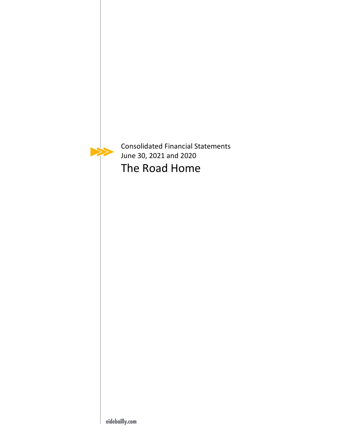

Consolidated Financial Statements June 30, 2021 and 2020 The Road Home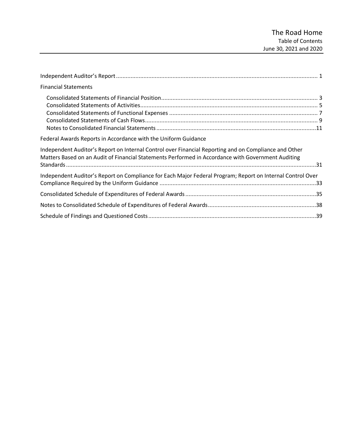| <b>Financial Statements</b>                                                                                                                                                                                 |  |
|-------------------------------------------------------------------------------------------------------------------------------------------------------------------------------------------------------------|--|
|                                                                                                                                                                                                             |  |
| Federal Awards Reports in Accordance with the Uniform Guidance                                                                                                                                              |  |
| Independent Auditor's Report on Internal Control over Financial Reporting and on Compliance and Other<br>Matters Based on an Audit of Financial Statements Performed in Accordance with Government Auditing |  |
| Independent Auditor's Report on Compliance for Each Major Federal Program; Report on Internal Control Over                                                                                                  |  |
|                                                                                                                                                                                                             |  |
|                                                                                                                                                                                                             |  |
|                                                                                                                                                                                                             |  |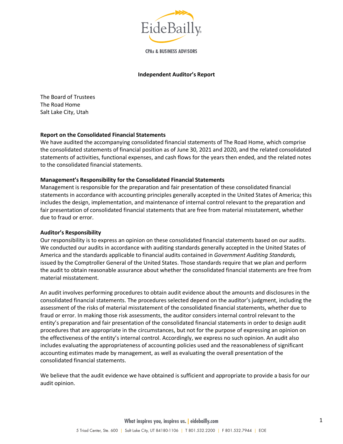

**CPAs & BUSINESS ADVISORS** 

#### **Independent Auditor's Report**

<span id="page-2-0"></span>The Board of Trustees The Road Home Salt Lake City, Utah

### **Report on the Consolidated Financial Statements**

We have audited the accompanying consolidated financial statements of The Road Home, which comprise the consolidated statements of financial position as of June 30, 2021 and 2020, and the related consolidated statements of activities, functional expenses, and cash flows for the years then ended, and the related notes to the consolidated financial statements.

#### **Management's Responsibility for the Consolidated Financial Statements**

Management is responsible for the preparation and fair presentation of these consolidated financial statements in accordance with accounting principles generally accepted in the United States of America; this includes the design, implementation, and maintenance of internal control relevant to the preparation and fair presentation of consolidated financial statements that are free from material misstatement, whether due to fraud or error.

#### **Auditor's Responsibility**

Our responsibility is to express an opinion on these consolidated financial statements based on our audits. We conducted our audits in accordance with auditing standards generally accepted in the United States of America and the standards applicable to financial audits contained in *Government Auditing Standards,*  issued by the Comptroller General of the United States. Those standards require that we plan and perform the audit to obtain reasonable assurance about whether the consolidated financial statements are free from material misstatement.

An audit involves performing procedures to obtain audit evidence about the amounts and disclosures in the consolidated financial statements. The procedures selected depend on the auditor's judgment, including the assessment of the risks of material misstatement of the consolidated financial statements, whether due to fraud or error. In making those risk assessments, the auditor considers internal control relevant to the entity's preparation and fair presentation of the consolidated financial statements in order to design audit procedures that are appropriate in the circumstances, but not for the purpose of expressing an opinion on the effectiveness of the entity's internal control. Accordingly, we express no such opinion. An audit also includes evaluating the appropriateness of accounting policies used and the reasonableness of significant accounting estimates made by management, as well as evaluating the overall presentation of the consolidated financial statements.

We believe that the audit evidence we have obtained is sufficient and appropriate to provide a basis for our audit opinion.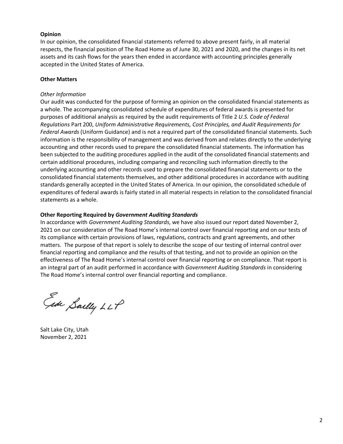#### **Opinion**

In our opinion, the consolidated financial statements referred to above present fairly, in all material respects, the financial position of The Road Home as of June 30, 2021 and 2020, and the changes in its net assets and its cash flows for the years then ended in accordance with accounting principles generally accepted in the United States of America.

#### **Other Matters**

#### *Other Information*

Our audit was conducted for the purpose of forming an opinion on the consolidated financial statements as a whole. The accompanying consolidated schedule of expenditures of federal awards is presented for purposes of additional analysis as required by the audit requirements of Title 2 *U.S. Code of Federal Regulations* Part 200, *Uniform Administrative Requirements, Cost Principles, and Audit Requirements for Federal Awards* (Uniform Guidance) and is not a required part of the consolidated financial statements. Such information is the responsibility of management and was derived from and relates directly to the underlying accounting and other records used to prepare the consolidated financial statements. The information has been subjected to the auditing procedures applied in the audit of the consolidated financial statements and certain additional procedures, including comparing and reconciling such information directly to the underlying accounting and other records used to prepare the consolidated financial statements or to the consolidated financial statements themselves, and other additional procedures in accordance with auditing standards generally accepted in the United States of America. In our opinion, the consolidated schedule of expenditures of federal awards is fairly stated in all material respects in relation to the consolidated financial statements as a whole.

#### **Other Reporting Required by** *Government Auditing Standards*

In accordance with *Government Auditing Standards*, we have also issued our report dated November 2, 2021 on our consideration of The Road Home's internal control over financial reporting and on our tests of its compliance with certain provisions of laws, regulations, contracts and grant agreements, and other matters. The purpose of that report is solely to describe the scope of our testing of internal control over financial reporting and compliance and the results of that testing, and not to provide an opinion on the effectiveness of The Road Home's internal control over financial reporting or on compliance. That report is an integral part of an audit performed in accordance with *Government Auditing Standards* in considering The Road Home's internal control over financial reporting and compliance.

Ede Sailly LLP

Salt Lake City, Utah November 2, 2021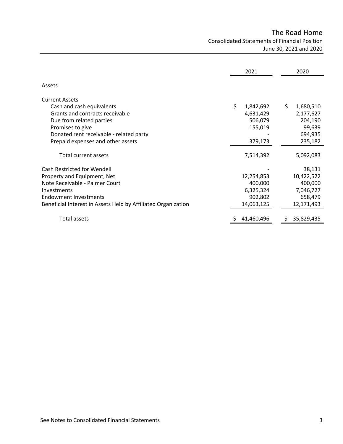# The Road Home Consolidated Statements of Financial Position June 30, 2021 and 2020

<span id="page-4-1"></span><span id="page-4-0"></span>

|                                                               | 2021             | 2020             |
|---------------------------------------------------------------|------------------|------------------|
| Assets                                                        |                  |                  |
| <b>Current Assets</b>                                         |                  |                  |
| Cash and cash equivalents                                     | \$<br>1,842,692  | \$.<br>1,680,510 |
| Grants and contracts receivable                               | 4,631,429        | 2,177,627        |
| Due from related parties                                      | 506,079          | 204,190          |
| Promises to give                                              | 155,019          | 99,639           |
| Donated rent receivable - related party                       |                  | 694,935          |
| Prepaid expenses and other assets                             | 379,173          | 235,182          |
| Total current assets                                          | 7,514,392        | 5,092,083        |
| <b>Cash Restricted for Wendell</b>                            |                  | 38,131           |
| Property and Equipment, Net                                   | 12,254,853       | 10,422,522       |
| Note Receivable - Palmer Court                                | 400,000          | 400,000          |
| Investments                                                   | 6,325,324        | 7,046,727        |
| <b>Endowment Investments</b>                                  | 902,802          | 658,479          |
| Beneficial Interest in Assets Held by Affiliated Organization | 14,063,125       | 12,171,493       |
| Total assets                                                  | 41,460,496<br>Ş. | 35,829,435<br>S  |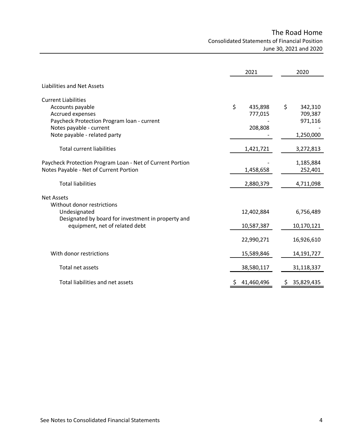# The Road Home Consolidated Statements of Financial Position June 30, 2021 and 2020

|                                                           | 2021             | 2020          |
|-----------------------------------------------------------|------------------|---------------|
| Liabilities and Net Assets                                |                  |               |
| <b>Current Liabilities</b>                                |                  |               |
| Accounts payable                                          | \$<br>435,898    | \$<br>342,310 |
| Accrued expenses                                          | 777,015          | 709,387       |
| Paycheck Protection Program Ioan - current                |                  | 971,116       |
| Notes payable - current                                   | 208,808          |               |
| Note payable - related party                              |                  | 1,250,000     |
| <b>Total current liabilities</b>                          | 1,421,721        | 3,272,813     |
| Paycheck Protection Program Loan - Net of Current Portion |                  | 1,185,884     |
| Notes Payable - Net of Current Portion                    | 1,458,658        | 252,401       |
| <b>Total liabilities</b>                                  | 2,880,379        | 4,711,098     |
| <b>Net Assets</b>                                         |                  |               |
| Without donor restrictions                                |                  |               |
| Undesignated                                              | 12,402,884       | 6,756,489     |
| Designated by board for investment in property and        |                  |               |
| equipment, net of related debt                            | 10,587,387       | 10,170,121    |
|                                                           |                  |               |
|                                                           | 22,990,271       | 16,926,610    |
| With donor restrictions                                   |                  |               |
|                                                           | 15,589,846       | 14,191,727    |
| Total net assets                                          | 38,580,117       | 31,118,337    |
| Total liabilities and net assets                          | 41,460,496<br>\$ | 35,829,435    |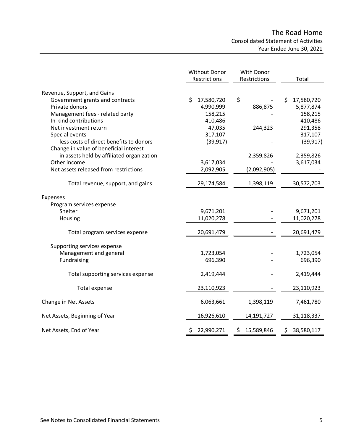# The Road Home Consolidated Statement of Activities Year Ended June 30, 2021

<span id="page-6-0"></span>

|                                                   | Without Donor<br>Restrictions | With Donor<br>Restrictions | Total                         |
|---------------------------------------------------|-------------------------------|----------------------------|-------------------------------|
| Revenue, Support, and Gains                       |                               |                            |                               |
| Government grants and contracts<br>Private donors | \$<br>17,580,720<br>4,990,999 | \$<br>886,875              | 17,580,720<br>\$<br>5,877,874 |
| Management fees - related party                   | 158,215                       |                            | 158,215                       |
| In-kind contributions                             | 410,486                       |                            | 410,486                       |
| Net investment return                             | 47,035                        | 244,323                    | 291,358                       |
| Special events                                    | 317,107                       |                            | 317,107                       |
| less costs of direct benefits to donors           | (39, 917)                     |                            | (39, 917)                     |
| Change in value of beneficial interest            |                               |                            |                               |
| in assets held by affiliated organization         |                               | 2,359,826                  | 2,359,826                     |
| Other income                                      | 3,617,034                     |                            | 3,617,034                     |
| Net assets released from restrictions             | 2,092,905                     | (2,092,905)                |                               |
| Total revenue, support, and gains                 | 29,174,584                    | 1,398,119                  | 30,572,703                    |
| Expenses                                          |                               |                            |                               |
| Program services expense                          |                               |                            |                               |
| Shelter                                           | 9,671,201                     |                            | 9,671,201                     |
| Housing                                           | 11,020,278                    |                            | 11,020,278                    |
| Total program services expense                    | 20,691,479                    |                            | 20,691,479                    |
| Supporting services expense                       |                               |                            |                               |
| Management and general                            | 1,723,054                     |                            | 1,723,054                     |
| Fundraising                                       | 696,390                       |                            | 696,390                       |
| Total supporting services expense                 | 2,419,444                     |                            | 2,419,444                     |
| <b>Total expense</b>                              | 23,110,923                    |                            | 23,110,923                    |
| Change in Net Assets                              | 6,063,661                     | 1,398,119                  | 7,461,780                     |
| Net Assets, Beginning of Year                     | 16,926,610                    | 14,191,727                 | 31,118,337                    |
| Net Assets, End of Year                           | \$22,990,271                  | 15,589,846<br>\$.          | 38,580,117<br>\$              |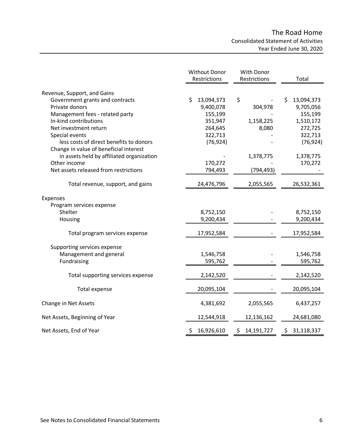# The Road Home Consolidated Statement of Activities Year Ended June 30, 2020

|                                           | <b>Without Donor</b><br>Restrictions | With Donor<br>Restrictions   | Total            |
|-------------------------------------------|--------------------------------------|------------------------------|------------------|
| Revenue, Support, and Gains               |                                      |                              |                  |
| Government grants and contracts           | \$<br>13,094,373                     | \$                           | \$<br>13,094,373 |
| Private donors                            | 9,400,078                            | 304,978                      | 9,705,056        |
| Management fees - related party           | 155,199                              |                              | 155,199          |
| In-kind contributions                     | 351,947                              | 1,158,225                    | 1,510,172        |
| Net investment return                     | 264,645                              | 8,080                        | 272,725          |
| Special events                            | 322,713                              |                              | 322,713          |
| less costs of direct benefits to donors   | (76, 924)                            |                              | (76, 924)        |
| Change in value of beneficial interest    |                                      |                              |                  |
| in assets held by affiliated organization |                                      | 1,378,775                    | 1,378,775        |
| Other income                              | 170,272                              |                              | 170,272          |
| Net assets released from restrictions     | 794,493                              | (794, 493)                   |                  |
| Total revenue, support, and gains         | 24,476,796                           | 2,055,565                    | 26,532,361       |
| Expenses                                  |                                      |                              |                  |
| Program services expense                  |                                      |                              |                  |
| Shelter                                   | 8,752,150                            |                              | 8,752,150        |
| Housing                                   | 9,200,434                            |                              | 9,200,434        |
| Total program services expense            | 17,952,584                           |                              | 17,952,584       |
| Supporting services expense               |                                      |                              |                  |
| Management and general                    | 1,546,758                            |                              | 1,546,758        |
| Fundraising                               | 595,762                              |                              | 595,762          |
| Total supporting services expense         | 2,142,520                            |                              | 2,142,520        |
| <b>Total expense</b>                      | 20,095,104                           |                              | 20,095,104       |
| Change in Net Assets                      | 4,381,692                            | 2,055,565                    | 6,437,257        |
| Net Assets, Beginning of Year             | 12,544,918                           | 12,136,162                   | 24,681,080       |
| Net Assets, End of Year                   | 16,926,610<br>\$                     | $\mathsf{S}^-$<br>14,191,727 | \$31,118,337     |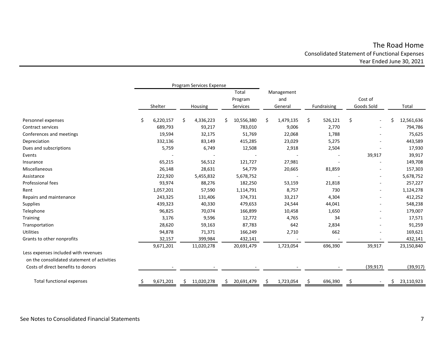# The Road Home Consolidated Statement of Functional Expenses Year Ended June 30, 2021

<span id="page-8-0"></span>

|                                                                                     |     | Program Services Expense |    |                              |            |                              |           |             |         |                       |                          |       |            |
|-------------------------------------------------------------------------------------|-----|--------------------------|----|------------------------------|------------|------------------------------|-----------|-------------|---------|-----------------------|--------------------------|-------|------------|
|                                                                                     |     | Shelter<br>Housing       |    | Total<br>Program<br>Services |            | Management<br>and<br>General |           | Fundraising |         | Cost of<br>Goods Sold |                          | Total |            |
|                                                                                     |     |                          |    |                              |            |                              |           |             |         |                       |                          |       |            |
| Personnel expenses                                                                  | \$. | 6,220,157                | \$ | 4,336,223                    | 10,556,380 | \$                           | 1,479,135 | \$          | 526,121 | \$                    |                          | S     | 12,561,636 |
| Contract services                                                                   |     | 689,793                  |    | 93,217                       | 783,010    |                              | 9,006     |             | 2,770   |                       |                          |       | 794,786    |
| Conferences and meetings                                                            |     | 19,594                   |    | 32,175                       | 51,769     |                              | 22,068    |             | 1,788   |                       |                          |       | 75,625     |
| Depreciation                                                                        |     | 332,136                  |    | 83,149                       | 415,285    |                              | 23,029    |             | 5,275   |                       |                          |       | 443,589    |
| Dues and subscriptions                                                              |     | 5,759                    |    | 6,749                        | 12,508     |                              | 2,918     |             | 2,504   |                       |                          |       | 17,930     |
| Events                                                                              |     |                          |    |                              |            |                              |           |             |         |                       | 39,917                   |       | 39,917     |
| Insurance                                                                           |     | 65,215                   |    | 56,512                       | 121,727    |                              | 27,981    |             |         |                       |                          |       | 149,708    |
| Miscellaneous                                                                       |     | 26,148                   |    | 28,631                       | 54,779     |                              | 20,665    |             | 81,859  |                       |                          |       | 157,303    |
| Assistance                                                                          |     | 222,920                  |    | 5,455,832                    | 5,678,752  |                              |           |             |         |                       | -                        |       | 5,678,752  |
| Professional fees                                                                   |     | 93,974                   |    | 88,276                       | 182,250    |                              | 53,159    |             | 21,818  |                       |                          |       | 257,227    |
| Rent                                                                                |     | 1,057,201                |    | 57,590                       | 1,114,791  |                              | 8,757     |             | 730     |                       | $\overline{\phantom{a}}$ |       | 1,124,278  |
| Repairs and maintenance                                                             |     | 243,325                  |    | 131,406                      | 374,731    |                              | 33,217    |             | 4,304   |                       | $\overline{a}$           |       | 412,252    |
| Supplies                                                                            |     | 439,323                  |    | 40,330                       | 479,653    |                              | 24,544    |             | 44,041  |                       | $\overline{\phantom{a}}$ |       | 548,238    |
| Telephone                                                                           |     | 96,825                   |    | 70,074                       | 166,899    |                              | 10,458    |             | 1,650   |                       |                          |       | 179,007    |
| Training                                                                            |     | 3,176                    |    | 9,596                        | 12,772     |                              | 4,765     |             | 34      |                       |                          |       | 17,571     |
| Transportation                                                                      |     | 28,620                   |    | 59,163                       | 87,783     |                              | 642       |             | 2,834   |                       |                          |       | 91,259     |
| <b>Utilities</b>                                                                    |     | 94,878                   |    | 71,371                       | 166,249    |                              | 2,710     |             | 662     |                       |                          |       | 169,621    |
| Grants to other nonprofits                                                          |     | 32,157                   |    | 399,984                      | 432,141    |                              |           |             |         |                       |                          |       | 432,141    |
|                                                                                     |     | 9,671,201                |    | 11,020,278                   | 20,691,479 |                              | 1,723,054 |             | 696,390 |                       | 39,917                   |       | 23,150,840 |
| Less expenses included with revenues<br>on the consolidated statement of activities |     |                          |    |                              |            |                              |           |             |         |                       |                          |       |            |
| Costs of direct benefits to donors                                                  |     |                          |    |                              |            |                              |           |             |         |                       | (39, 917)                |       | (39, 917)  |
| Total functional expenses                                                           |     | 9,671,201                |    | 11,020,278                   | 20,691,479 |                              | 1,723,054 |             | 696,390 |                       |                          | Ş.    | 23,110,923 |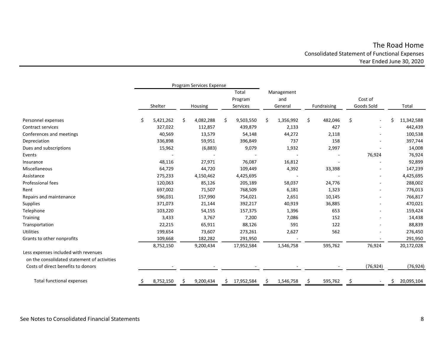# The Road Home Consolidated Statement of Functional Expenses Year Ended June 30, 2020

|                                             | Program Services Expense |           |    |           |    |            |    |            |    |             |    |                          |   |            |
|---------------------------------------------|--------------------------|-----------|----|-----------|----|------------|----|------------|----|-------------|----|--------------------------|---|------------|
|                                             |                          |           |    |           |    | Total      |    | Management |    |             |    |                          |   |            |
|                                             |                          |           |    |           |    | Program    |    | and        |    |             |    | Cost of                  |   |            |
|                                             |                          | Shelter   |    | Housing   |    | Services   |    | General    |    | Fundraising |    | Goods Sold               |   | Total      |
| Personnel expenses                          | S                        | 5,421,262 | \$ | 4,082,288 | \$ | 9,503,550  | \$ | 1,356,992  | \$ | 482,046     | \$ |                          | Ś | 11,342,588 |
| Contract services                           |                          | 327,022   |    | 112,857   |    | 439,879    |    | 2,133      |    | 427         |    | $\overline{\phantom{a}}$ |   | 442,439    |
| Conferences and meetings                    |                          | 40,569    |    | 13,579    |    | 54,148     |    | 44,272     |    | 2,118       |    |                          |   | 100,538    |
| Depreciation                                |                          | 336,898   |    | 59,951    |    | 396,849    |    | 737        |    | 158         |    |                          |   | 397,744    |
| Dues and subscriptions                      |                          | 15,962    |    | (6,883)   |    | 9,079      |    | 1,932      |    | 2,997       |    |                          |   | 14,008     |
| Events                                      |                          |           |    |           |    |            |    |            |    |             |    | 76,924                   |   | 76,924     |
| Insurance                                   |                          | 48,116    |    | 27,971    |    | 76,087     |    | 16,812     |    |             |    |                          |   | 92,899     |
| Miscellaneous                               |                          | 64,729    |    | 44,720    |    | 109,449    |    | 4,392      |    | 33,398      |    | ÷                        |   | 147,239    |
| Assistance                                  |                          | 275,233   |    | 4,150,462 |    | 4,425,695  |    |            |    |             |    | $\blacksquare$           |   | 4,425,695  |
| Professional fees                           |                          | 120,063   |    | 85,126    |    | 205,189    |    | 58,037     |    | 24,776      |    |                          |   | 288,002    |
| Rent                                        |                          | 697,002   |    | 71,507    |    | 768,509    |    | 6,181      |    | 1,323       |    | $\overline{\phantom{a}}$ |   | 776,013    |
| Repairs and maintenance                     |                          | 596,031   |    | 157,990   |    | 754,021    |    | 2,651      |    | 10,145      |    | $\overline{\phantom{0}}$ |   | 766,817    |
| <b>Supplies</b>                             |                          | 371,073   |    | 21,144    |    | 392,217    |    | 40,919     |    | 36,885      |    |                          |   | 470,021    |
| Telephone                                   |                          | 103,220   |    | 54,155    |    | 157,375    |    | 1,396      |    | 653         |    |                          |   | 159,424    |
| Training                                    |                          | 3,433     |    | 3,767     |    | 7,200      |    | 7,086      |    | 152         |    |                          |   | 14,438     |
| Transportation                              |                          | 22,215    |    | 65,911    |    | 88,126     |    | 591        |    | 122         |    |                          |   | 88,839     |
| <b>Utilities</b>                            |                          | 199,654   |    | 73,607    |    | 273,261    |    | 2,627      |    | 562         |    |                          |   | 276,450    |
| Grants to other nonprofits                  |                          | 109,668   |    | 182,282   |    | 291,950    |    |            |    |             |    |                          |   | 291,950    |
|                                             |                          | 8,752,150 |    | 9,200,434 |    | 17,952,584 |    | 1,546,758  |    | 595,762     |    | 76,924                   |   | 20,172,028 |
| Less expenses included with revenues        |                          |           |    |           |    |            |    |            |    |             |    |                          |   |            |
| on the consolidated statement of activities |                          |           |    |           |    |            |    |            |    |             |    |                          |   |            |
| Costs of direct benefits to donors          |                          |           |    |           |    |            |    |            |    |             |    | (76, 924)                |   | (76, 924)  |
| <b>Total functional expenses</b>            |                          | 8,752,150 |    | 9,200,434 |    | 17,952,584 | Ŝ  | 1,546,758  |    | 595,762     |    |                          |   | 20,095,104 |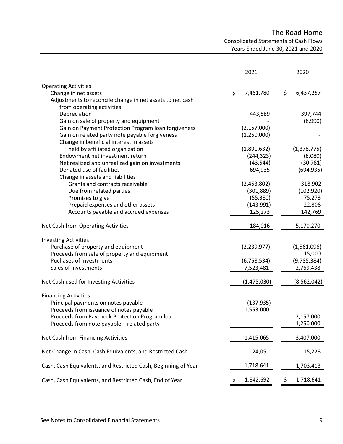# The Road Home

Consolidated Statements of Cash Flows

Years Ended June 30, 2021 and 2020

<span id="page-10-0"></span>

|                                                                | 2021            | 2020            |
|----------------------------------------------------------------|-----------------|-----------------|
| <b>Operating Activities</b>                                    |                 |                 |
| Change in net assets                                           | \$<br>7,461,780 | \$<br>6,437,257 |
| Adjustments to reconcile change in net assets to net cash      |                 |                 |
| from operating activities                                      |                 |                 |
| Depreciation                                                   | 443,589         | 397,744         |
| Gain on sale of property and equipment                         |                 | (8,990)         |
| Gain on Payment Protection Program Ioan forgiveness            | (2, 157, 000)   |                 |
| Gain on related party note payable forgiveness                 | (1,250,000)     |                 |
| Change in beneficial interest in assets                        |                 |                 |
| held by affiliated organization                                | (1,891,632)     | (1,378,775)     |
| Endowment net investment return                                | (244, 323)      | (8,080)         |
| Net realized and unrealized gain on investments                | (43, 544)       | (30, 781)       |
| Donated use of facilities                                      | 694,935         | (694, 935)      |
| Change in assets and liabilities                               |                 |                 |
| Grants and contracts receivable                                | (2,453,802)     | 318,902         |
|                                                                | (301, 889)      | (102, 920)      |
| Due from related parties                                       | (55, 380)       | 75,273          |
| Promises to give<br>Prepaid expenses and other assets          | (143,991)       | 22,806          |
|                                                                |                 |                 |
| Accounts payable and accrued expenses                          | 125,273         | 142,769         |
| Net Cash from Operating Activities                             | 184,016         | 5,170,270       |
| <b>Investing Activities</b>                                    |                 |                 |
| Purchase of property and equipment                             | (2,239,977)     | (1,561,096)     |
| Proceeds from sale of property and equipment                   |                 | 15,000          |
| Puchases of investments                                        | (6,758,534)     | (9,785,384)     |
| Sales of investments                                           | 7,523,481       | 2,769,438       |
| Net Cash used for Investing Activities                         | (1,475,030)     | (8, 562, 042)   |
|                                                                |                 |                 |
| <b>Financing Activities</b>                                    |                 |                 |
| Principal payments on notes payable                            | (137, 935)      |                 |
| Proceeds from issuance of notes payable                        | 1,553,000       |                 |
| Proceeds from Paycheck Protection Program loan                 |                 | 2,157,000       |
| Proceeds from note payable - related party                     |                 | 1,250,000       |
| Net Cash from Financing Activities                             | 1,415,065       | 3,407,000       |
| Net Change in Cash, Cash Equivalents, and Restricted Cash      | 124,051         | 15,228          |
| Cash, Cash Equivalents, and Restricted Cash, Beginning of Year | 1,718,641       | 1,703,413       |
| Cash, Cash Equivalents, and Restricted Cash, End of Year       | \$<br>1,842,692 | \$<br>1,718,641 |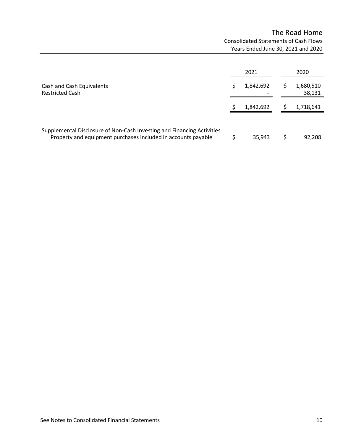# The Road Home Consolidated Statements of Cash Flows Years Ended June 30, 2021 and 2020

|                                                                                                                                         | 2021      | 2020                |
|-----------------------------------------------------------------------------------------------------------------------------------------|-----------|---------------------|
| Cash and Cash Equivalents<br><b>Restricted Cash</b>                                                                                     | 1,842,692 | 1,680,510<br>38,131 |
|                                                                                                                                         | 1,842,692 | 1,718,641           |
| Supplemental Disclosure of Non-Cash Investing and Financing Activities<br>Property and equipment purchases included in accounts payable | 35,943    | 92,208              |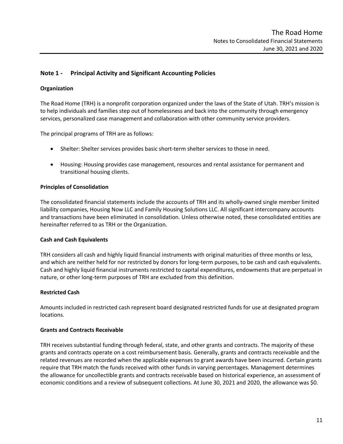## <span id="page-12-0"></span>**Note 1 - Principal Activity and Significant Accounting Policies**

### **Organization**

The Road Home (TRH) is a nonprofit corporation organized under the laws of the State of Utah. TRH's mission is to help individuals and families step out of homelessness and back into the community through emergency services, personalized case management and collaboration with other community service providers.

The principal programs of TRH are as follows:

- Shelter: Shelter services provides basic short-term shelter services to those in need.
- Housing: Housing provides case management, resources and rental assistance for permanent and transitional housing clients.

#### **Principles of Consolidation**

The consolidated financial statements include the accounts of TRH and its wholly-owned single member limited liability companies, Housing Now LLC and Family Housing Solutions LLC. All significant intercompany accounts and transactions have been eliminated in consolidation. Unless otherwise noted, these consolidated entities are hereinafter referred to as TRH or the Organization.

#### **Cash and Cash Equivalents**

TRH considers all cash and highly liquid financial instruments with original maturities of three months or less, and which are neither held for nor restricted by donors for long-term purposes, to be cash and cash equivalents. Cash and highly liquid financial instruments restricted to capital expenditures, endowments that are perpetual in nature, or other long-term purposes of TRH are excluded from this definition.

#### **Restricted Cash**

Amounts included in restricted cash represent board designated restricted funds for use at designated program locations.

#### **Grants and Contracts Receivable**

TRH receives substantial funding through federal, state, and other grants and contracts. The majority of these grants and contracts operate on a cost reimbursement basis. Generally, grants and contracts receivable and the related revenues are recorded when the applicable expenses to grant awards have been incurred. Certain grants require that TRH match the funds received with other funds in varying percentages. Management determines the allowance for uncollectible grants and contracts receivable based on historical experience, an assessment of economic conditions and a review of subsequent collections. At June 30, 2021 and 2020, the allowance was \$0.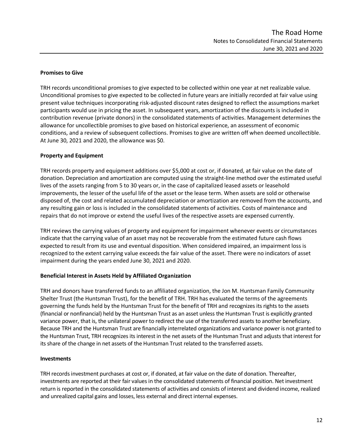### **Promises to Give**

TRH records unconditional promises to give expected to be collected within one year at net realizable value. Unconditional promises to give expected to be collected in future years are initially recorded at fair value using present value techniques incorporating risk-adjusted discount rates designed to reflect the assumptions market participants would use in pricing the asset. In subsequent years, amortization of the discounts is included in contribution revenue (private donors) in the consolidated statements of activities. Management determines the allowance for uncollectible promises to give based on historical experience, an assessment of economic conditions, and a review of subsequent collections. Promises to give are written off when deemed uncollectible. At June 30, 2021 and 2020, the allowance was \$0.

## **Property and Equipment**

TRH records property and equipment additions over \$5,000 at cost or, if donated, at fair value on the date of donation. Depreciation and amortization are computed using the straight-line method over the estimated useful lives of the assets ranging from 5 to 30 years or, in the case of capitalized leased assets or leasehold improvements, the lesser of the useful life of the asset or the lease term. When assets are sold or otherwise disposed of, the cost and related accumulated depreciation or amortization are removed from the accounts, and any resulting gain or loss is included in the consolidated statements of activities. Costs of maintenance and repairs that do not improve or extend the useful lives of the respective assets are expensed currently.

TRH reviews the carrying values of property and equipment for impairment whenever events or circumstances indicate that the carrying value of an asset may not be recoverable from the estimated future cash flows expected to result from its use and eventual disposition. When considered impaired, an impairment loss is recognized to the extent carrying value exceeds the fair value of the asset. There were no indicators of asset impairment during the years ended June 30, 2021 and 2020.

### **Beneficial Interest in Assets Held by Affiliated Organization**

TRH and donors have transferred funds to an affiliated organization, the Jon M. Huntsman Family Community Shelter Trust (the Huntsman Trust), for the benefit of TRH. TRH has evaluated the terms of the agreements governing the funds held by the Huntsman Trust for the benefit of TRH and recognizes its rights to the assets (financial or nonfinancial) held by the Huntsman Trust as an asset unless the Huntsman Trust is explicitly granted variance power, that is, the unilateral power to redirect the use of the transferred assets to another beneficiary. Because TRH and the Huntsman Trust are financially interrelated organizations and variance power is not granted to the Huntsman Trust, TRH recognizes its interest in the net assets of the Huntsman Trust and adjusts that interest for its share of the change in net assets of the Huntsman Trust related to the transferred assets.

### **Investments**

TRH records investment purchases at cost or, if donated, at fair value on the date of donation. Thereafter, investments are reported at their fair values in the consolidated statements of financial position. Net investment return is reported in the consolidated statements of activities and consists of interest and dividend income, realized and unrealized capital gains and losses, less external and direct internal expenses.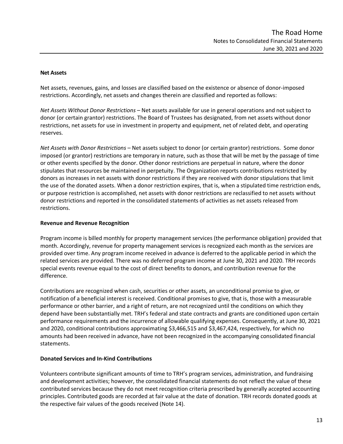#### **Net Assets**

Net assets, revenues, gains, and losses are classified based on the existence or absence of donor-imposed restrictions. Accordingly, net assets and changes therein are classified and reported as follows:

*Net Assets Without Donor Restrictions* – Net assets available for use in general operations and not subject to donor (or certain grantor) restrictions. The Board of Trustees has designated, from net assets without donor restrictions, net assets for use in investment in property and equipment, net of related debt, and operating reserves.

*Net Assets with Donor Restrictions* – Net assets subject to donor (or certain grantor) restrictions. Some donor imposed (or grantor) restrictions are temporary in nature, such as those that will be met by the passage of time or other events specified by the donor. Other donor restrictions are perpetual in nature, where the donor stipulates that resources be maintained in perpetuity. The Organization reports contributions restricted by donors as increases in net assets with donor restrictions if they are received with donor stipulations that limit the use of the donated assets. When a donor restriction expires, that is, when a stipulated time restriction ends, or purpose restriction is accomplished, net assets with donor restrictions are reclassified to net assets without donor restrictions and reported in the consolidated statements of activities as net assets released from restrictions.

### **Revenue and Revenue Recognition**

Program income is billed monthly for property management services (the performance obligation) provided that month. Accordingly, revenue for property management services is recognized each month as the services are provided over time. Any program income received in advance is deferred to the applicable period in which the related services are provided. There was no deferred program income at June 30, 2021 and 2020. TRH records special events revenue equal to the cost of direct benefits to donors, and contribution revenue for the difference.

Contributions are recognized when cash, securities or other assets, an unconditional promise to give, or notification of a beneficial interest is received. Conditional promises to give, that is, those with a measurable performance or other barrier, and a right of return, are not recognized until the conditions on which they depend have been substantially met. TRH's federal and state contracts and grants are conditioned upon certain performance requirements and the incurrence of allowable qualifying expenses. Consequently, at June 30, 2021 and 2020, conditional contributions approximating \$3,466,515 and \$3,467,424, respectively, for which no amounts had been received in advance, have not been recognized in the accompanying consolidated financial statements.

### **Donated Services and In-Kind Contributions**

Volunteers contribute significant amounts of time to TRH's program services, administration, and fundraising and development activities; however, the consolidated financial statements do not reflect the value of these contributed services because they do not meet recognition criteria prescribed by generally accepted accounting principles. Contributed goods are recorded at fair value at the date of donation. TRH records donated goods at the respective fair values of the goods received (Note 14).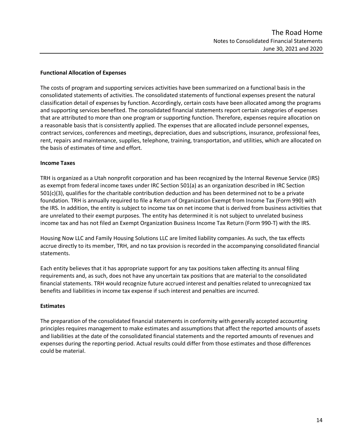### **Functional Allocation of Expenses**

The costs of program and supporting services activities have been summarized on a functional basis in the consolidated statements of activities. The consolidated statements of functional expenses present the natural classification detail of expenses by function. Accordingly, certain costs have been allocated among the programs and supporting services benefited. The consolidated financial statements report certain categories of expenses that are attributed to more than one program or supporting function. Therefore, expenses require allocation on a reasonable basis that is consistently applied. The expenses that are allocated include personnel expenses, contract services, conferences and meetings, depreciation, dues and subscriptions, insurance, professional fees, rent, repairs and maintenance, supplies, telephone, training, transportation, and utilities, which are allocated on the basis of estimates of time and effort.

### **Income Taxes**

TRH is organized as a Utah nonprofit corporation and has been recognized by the Internal Revenue Service (IRS) as exempt from federal income taxes under IRC Section 501(a) as an organization described in IRC Section 501(c)(3), qualifies for the charitable contribution deduction and has been determined not to be a private foundation. TRH is annually required to file a Return of Organization Exempt from Income Tax (Form 990) with the IRS. In addition, the entity is subject to income tax on net income that is derived from business activities that are unrelated to their exempt purposes. The entity has determined it is not subject to unrelated business income tax and has not filed an Exempt Organization Business Income Tax Return (Form 990-T) with the IRS.

Housing Now LLC and Family Housing Solutions LLC are limited liability companies. As such, the tax effects accrue directly to its member, TRH, and no tax provision is recorded in the accompanying consolidated financial statements.

Each entity believes that it has appropriate support for any tax positions taken affecting its annual filing requirements and, as such, does not have any uncertain tax positions that are material to the consolidated financial statements. TRH would recognize future accrued interest and penalties related to unrecognized tax benefits and liabilities in income tax expense if such interest and penalties are incurred.

### **Estimates**

The preparation of the consolidated financial statements in conformity with generally accepted accounting principles requires management to make estimates and assumptions that affect the reported amounts of assets and liabilities at the date of the consolidated financial statements and the reported amounts of revenues and expenses during the reporting period. Actual results could differ from those estimates and those differences could be material.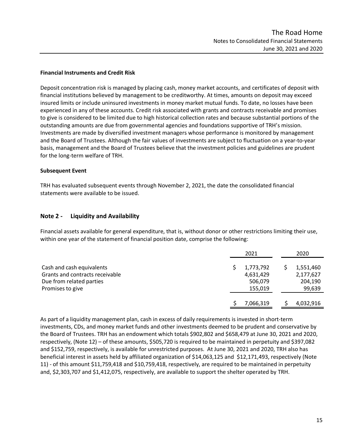### **Financial Instruments and Credit Risk**

Deposit concentration risk is managed by placing cash, money market accounts, and certificates of deposit with financial institutions believed by management to be creditworthy. At times, amounts on deposit may exceed insured limits or include uninsured investments in money market mutual funds. To date, no losses have been experienced in any of these accounts. Credit risk associated with grants and contracts receivable and promises to give is considered to be limited due to high historical collection rates and because substantial portions of the outstanding amounts are due from governmental agencies and foundations supportive of TRH's mission. Investments are made by diversified investment managers whose performance is monitored by management and the Board of Trustees. Although the fair values of investments are subject to fluctuation on a year-to-year basis, management and the Board of Trustees believe that the investment policies and guidelines are prudent for the long-term welfare of TRH.

### **Subsequent Event**

TRH has evaluated subsequent events through November 2, 2021, the date the consolidated financial statements were available to be issued.

## **Note 2 - Liquidity and Availability**

Financial assets available for general expenditure, that is, without donor or other restrictions limiting their use, within one year of the statement of financial position date, comprise the following:

|                                 | 2021      | 2020      |
|---------------------------------|-----------|-----------|
| Cash and cash equivalents       | 1,773,792 | 1,551,460 |
| Grants and contracts receivable | 4,631,429 | 2,177,627 |
| Due from related parties        | 506,079   | 204,190   |
| Promises to give                | 155,019   | 99,639    |
|                                 | 7,066,319 | 4,032,916 |

As part of a liquidity management plan, cash in excess of daily requirements is invested in short-term investments, CDs, and money market funds and other investments deemed to be prudent and conservative by the Board of Trustees. TRH has an endowment which totals \$902,802 and \$658,479 at June 30, 2021 and 2020, respectively, (Note 12) – of these amounts, \$505,720 is required to be maintained in perpetuity and \$397,082 and \$152,759, respectively, is available for unrestricted purposes. At June 30, 2021 and 2020, TRH also has beneficial interest in assets held by affiliated organization of \$14,063,125 and \$12,171,493, respectively (Note 11) - of this amount \$11,759,418 and \$10,759,418, respectively, are required to be maintained in perpetuity and, \$2,303,707 and \$1,412,075, respectively, are available to support the shelter operated by TRH.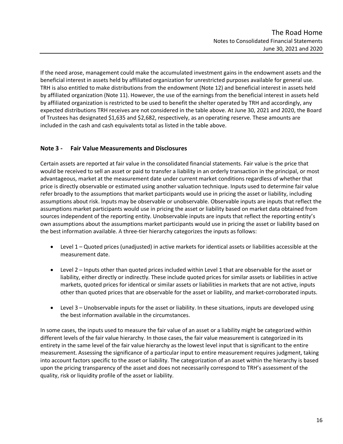If the need arose, management could make the accumulated investment gains in the endowment assets and the beneficial interest in assets held by affiliated organization for unrestricted purposes available for general use. TRH is also entitled to make distributions from the endowment (Note 12) and beneficial interest in assets held by affiliated organization (Note 11). However, the use of the earnings from the beneficial interest in assets held by affiliated organization is restricted to be used to benefit the shelter operated by TRH and accordingly, any expected distributions TRH receives are not considered in the table above. At June 30, 2021 and 2020, the Board of Trustees has designated \$1,635 and \$2,682, respectively, as an operating reserve. These amounts are included in the cash and cash equivalents total as listed in the table above.

## **Note 3 - Fair Value Measurements and Disclosures**

Certain assets are reported at fair value in the consolidated financial statements. Fair value is the price that would be received to sell an asset or paid to transfer a liability in an orderly transaction in the principal, or most advantageous, market at the measurement date under current market conditions regardless of whether that price is directly observable or estimated using another valuation technique. Inputs used to determine fair value refer broadly to the assumptions that market participants would use in pricing the asset or liability, including assumptions about risk. Inputs may be observable or unobservable. Observable inputs are inputs that reflect the assumptions market participants would use in pricing the asset or liability based on market data obtained from sources independent of the reporting entity. Unobservable inputs are inputs that reflect the reporting entity's own assumptions about the assumptions market participants would use in pricing the asset or liability based on the best information available. A three-tier hierarchy categorizes the inputs as follows:

- Level 1 Quoted prices (unadjusted) in active markets for identical assets or liabilities accessible at the measurement date.
- Level 2 Inputs other than quoted prices included within Level 1 that are observable for the asset or liability, either directly or indirectly. These include quoted prices for similar assets or liabilities in active markets, quoted prices for identical or similar assets or liabilities in markets that are not active, inputs other than quoted prices that are observable for the asset or liability, and market-corroborated inputs.
- Level 3 Unobservable inputs for the asset or liability. In these situations, inputs are developed using the best information available in the circumstances.

In some cases, the inputs used to measure the fair value of an asset or a liability might be categorized within different levels of the fair value hierarchy. In those cases, the fair value measurement is categorized in its entirety in the same level of the fair value hierarchy as the lowest level input that is significant to the entire measurement. Assessing the significance of a particular input to entire measurement requires judgment, taking into account factors specific to the asset or liability. The categorization of an asset within the hierarchy is based upon the pricing transparency of the asset and does not necessarily correspond to TRH's assessment of the quality, risk or liquidity profile of the asset or liability.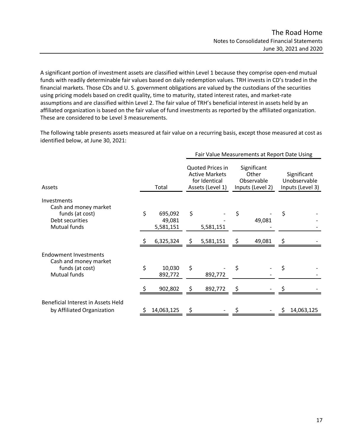A significant portion of investment assets are classified within Level 1 because they comprise open-end mutual funds with readily determinable fair values based on daily redemption values. TRH invests in CD's traded in the financial markets. Those CDs and U. S. government obligations are valued by the custodians of the securities using pricing models based on credit quality, time to maturity, stated interest rates, and market-rate assumptions and are classified within Level 2. The fair value of TRH's beneficial interest in assets held by an affiliated organization is based on the fair value of fund investments as reported by the affiliated organization. These are considered to be Level 3 measurements.

The following table presents assets measured at fair value on a recurring basis, except those measured at cost as identified below, at June 30, 2021:

|                                                                                                   |    |                                | Fair Value Measurements at Report Date Using |                                                                                |    |                                                        |                                                 |            |  |  |
|---------------------------------------------------------------------------------------------------|----|--------------------------------|----------------------------------------------|--------------------------------------------------------------------------------|----|--------------------------------------------------------|-------------------------------------------------|------------|--|--|
| Assets                                                                                            |    | Total                          |                                              | Quoted Prices in<br><b>Active Markets</b><br>for Identical<br>Assets (Level 1) |    | Significant<br>Other<br>Observable<br>Inputs (Level 2) | Significant<br>Unobservable<br>Inputs (Level 3) |            |  |  |
| <b>Investments</b><br>Cash and money market<br>funds (at cost)<br>Debt securities<br>Mutual funds | \$ | 695,092<br>49,081<br>5,581,151 | \$                                           | 5,581,151                                                                      | \$ | 49,081                                                 | \$                                              |            |  |  |
|                                                                                                   |    | 6,325,324                      | \$                                           | 5,581,151                                                                      | \$ | 49,081                                                 | \$                                              |            |  |  |
| <b>Endowment Investments</b><br>Cash and money market<br>funds (at cost)<br>Mutual funds          | \$ | 10,030<br>892,772              | \$                                           | 892,772                                                                        | \$ |                                                        | \$                                              |            |  |  |
|                                                                                                   |    | 902,802                        | \$                                           | 892,772                                                                        | Ś  |                                                        |                                                 |            |  |  |
| Beneficial Interest in Assets Held<br>by Affiliated Organization                                  |    | 14,063,125                     | \$                                           |                                                                                |    |                                                        |                                                 | 14,063,125 |  |  |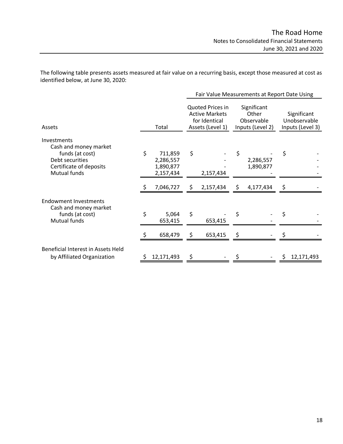The following table presents assets measured at fair value on a recurring basis, except those measured at cost as identified below, at June 30, 2020:

|                                                                                                                       |                                                      |                                                                                | Fair Value Measurements at Report Date Using |                                                        |                        |    |                                                 |  |  |
|-----------------------------------------------------------------------------------------------------------------------|------------------------------------------------------|--------------------------------------------------------------------------------|----------------------------------------------|--------------------------------------------------------|------------------------|----|-------------------------------------------------|--|--|
| Assets                                                                                                                | Total                                                | Quoted Prices in<br><b>Active Markets</b><br>for Identical<br>Assets (Level 1) |                                              | Significant<br>Other<br>Observable<br>Inputs (Level 2) |                        |    | Significant<br>Unobservable<br>Inputs (Level 3) |  |  |
| Investments<br>Cash and money market<br>funds (at cost)<br>Debt securities<br>Certificate of deposits<br>Mutual funds | \$<br>711,859<br>2,286,557<br>1,890,877<br>2,157,434 | \$                                                                             | 2,157,434                                    | \$                                                     | 2,286,557<br>1,890,877 | \$ |                                                 |  |  |
|                                                                                                                       | 7,046,727                                            | \$                                                                             | 2,157,434                                    | \$                                                     | 4,177,434              | \$ |                                                 |  |  |
| Endowment Investments<br>Cash and money market<br>funds (at cost)<br>Mutual funds                                     | \$<br>5,064<br>653,415                               | \$                                                                             | 653,415                                      | \$                                                     |                        | \$ |                                                 |  |  |
|                                                                                                                       | 658,479                                              | \$                                                                             | 653,415                                      |                                                        |                        |    |                                                 |  |  |
| <b>Beneficial Interest in Assets Held</b><br>by Affiliated Organization                                               | 12,171,493                                           | \$                                                                             |                                              |                                                        |                        | S  | 12,171,493                                      |  |  |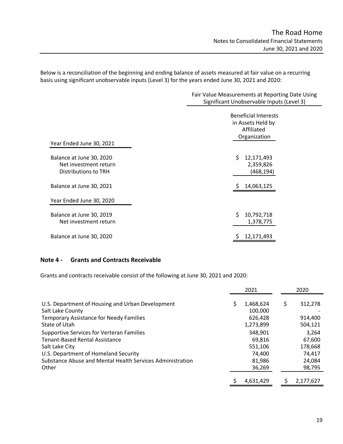Below is a reconciliation of the beginning and ending balance of assets measured at fair value on a recurring basis using significant unobservable inputs (Level 3) for the years ended June 30, 2021 and 2020:

|                                                                           | Fair Value Measurements at Reporting Date Using<br>Significant Unobservable Inputs (Level 3) |  |  |  |  |  |
|---------------------------------------------------------------------------|----------------------------------------------------------------------------------------------|--|--|--|--|--|
|                                                                           | <b>Beneficial Interests</b><br>in Assets Held by<br>Affiliated<br>Organization               |  |  |  |  |  |
| Year Ended June 30, 2021                                                  |                                                                                              |  |  |  |  |  |
| Balance at June 30, 2020<br>Net investment return<br>Distributions to TRH | \$<br>12,171,493<br>2,359,826<br>(468, 194)                                                  |  |  |  |  |  |
| Balance at June 30, 2021                                                  | 14,063,125                                                                                   |  |  |  |  |  |
| Year Ended June 30, 2020                                                  |                                                                                              |  |  |  |  |  |
| Balance at June 30, 2019<br>Net investment return                         | \$<br>10,792,718<br>1,378,775                                                                |  |  |  |  |  |
| Balance at June 30, 2020                                                  | 12,171,493                                                                                   |  |  |  |  |  |

### **Note 4 - Grants and Contracts Receivable**

Grants and contracts receivable consist of the following at June 30, 2021 and 2020:

|                                                                                                                                                                                                                    | 2021 |                                                            | 2020 |                                                          |
|--------------------------------------------------------------------------------------------------------------------------------------------------------------------------------------------------------------------|------|------------------------------------------------------------|------|----------------------------------------------------------|
| U.S. Department of Housing and Urban Development<br>Salt Lake County<br><b>Temporary Assistance for Needy Families</b><br>State of Utah                                                                            |      | 1,468,624<br>100,000<br>626,428<br>1,273,899               | S    | 312,278<br>914,400<br>504,121                            |
| <b>Supportive Services for Verteran Families</b><br>Tenant-Based Rental Assistance<br>Salt Lake City<br>U.S. Department of Homeland Security<br>Substance Abuse and Mental Health Services Administration<br>Other |      | 348,901<br>69,816<br>551,106<br>74.400<br>81,986<br>36,269 |      | 3,264<br>67,600<br>178,668<br>74.417<br>24,084<br>98,795 |
|                                                                                                                                                                                                                    |      | 4,631,429                                                  |      | 2,177,627                                                |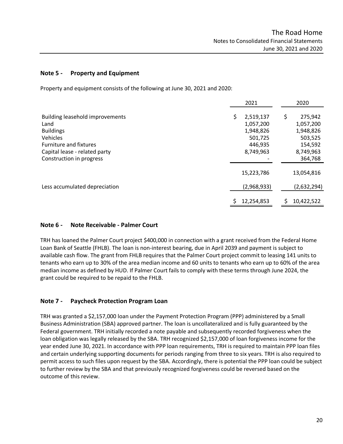### **Note 5 - Property and Equipment**

Property and equipment consists of the following at June 30, 2021 and 2020:

|                                                                                                                                                                              | 2021                                                                         | 2020                                                                                  |
|------------------------------------------------------------------------------------------------------------------------------------------------------------------------------|------------------------------------------------------------------------------|---------------------------------------------------------------------------------------|
| <b>Building leasehold improvements</b><br>Land<br><b>Buildings</b><br>Vehicles<br><b>Furniture and fixtures</b><br>Capital lease - related party<br>Construction in progress | \$<br>2,519,137<br>1,057,200<br>1,948,826<br>501,725<br>446,935<br>8,749,963 | \$<br>275,942<br>1,057,200<br>1,948,826<br>503,525<br>154,592<br>8,749,963<br>364,768 |
|                                                                                                                                                                              | 15,223,786                                                                   | 13,054,816                                                                            |
| Less accumulated depreciation                                                                                                                                                | (2,968,933)                                                                  | (2,632,294)                                                                           |
|                                                                                                                                                                              | 12,254,853                                                                   | \$<br>10,422,522                                                                      |

## **Note 6 - Note Receivable - Palmer Court**

TRH has loaned the Palmer Court project \$400,000 in connection with a grant received from the Federal Home Loan Bank of Seattle (FHLB). The loan is non-interest bearing, due in April 2039 and payment is subject to available cash flow. The grant from FHLB requires that the Palmer Court project commit to leasing 141 units to tenants who earn up to 30% of the area median income and 60 units to tenants who earn up to 60% of the area median income as defined by HUD. If Palmer Court fails to comply with these terms through June 2024, the grant could be required to be repaid to the FHLB.

## **Note 7 - Paycheck Protection Program Loan**

TRH was granted a \$2,157,000 loan under the Payment Protection Program (PPP) administered by a Small Business Administration (SBA) approved partner. The loan is uncollateralized and is fully guaranteed by the Federal government. TRH initially recorded a note payable and subsequently recorded forgiveness when the loan obligation was legally released by the SBA. TRH recognized \$2,157,000 of loan forgiveness income for the year ended June 30, 2021. In accordance with PPP loan requirements, TRH is required to maintain PPP loan files and certain underlying supporting documents for periods ranging from three to six years. TRH is also required to permit access to such files upon request by the SBA. Accordingly, there is potential the PPP loan could be subject to further review by the SBA and that previously recognized forgiveness could be reversed based on the outcome of this review.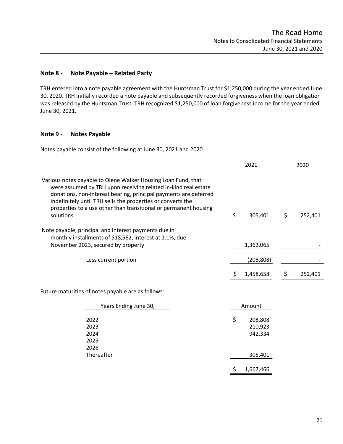### **Note 8 - Note Payable – Related Party**

TRH entered into a note payable agreement with the Huntsman Trust for \$1,250,000 during the year ended June 30, 2020. TRH initially recorded a note payable and subsequently recorded forgiveness when the loan obligation was released by the Huntsman Trust. TRH recognized \$1,250,000 of loan forgiveness income for the year ended June 30, 2021.

### **Note 9 - Notes Payable**

Notes payable consist of the following at June 30, 2021 and 2020 :

| 2021                                                        | 2020 |         |  |
|-------------------------------------------------------------|------|---------|--|
| \$<br>305,401                                               | \$   | 252,401 |  |
| 1,362,065                                                   |      |         |  |
| (208, 808)                                                  |      |         |  |
| 1,458,658                                                   |      | 252,401 |  |
|                                                             |      |         |  |
| Amount                                                      |      |         |  |
| \$<br>208,808<br>210,923<br>942,334<br>305,401<br>1,667,466 |      |         |  |
| \$                                                          |      |         |  |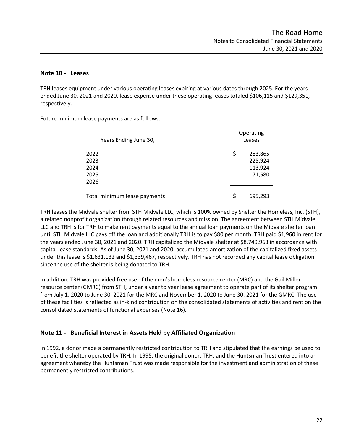### **Note 10 - Leases**

TRH leases equipment under various operating leases expiring at various dates through 2025. For the years ended June 30, 2021 and 2020, lease expense under these operating leases totaled \$106,115 and \$129,351, respectively.

Future minimum lease payments are as follows:

| Years Ending June 30,        | Operating<br>Leases |                    |  |  |  |
|------------------------------|---------------------|--------------------|--|--|--|
| 2022<br>2023                 | \$                  | 283,865<br>225,924 |  |  |  |
| 2024                         |                     | 113,924            |  |  |  |
| 2025                         |                     | 71,580             |  |  |  |
| 2026                         |                     |                    |  |  |  |
| Total minimum lease payments | Ś                   | 695,293            |  |  |  |

TRH leases the Midvale shelter from STH Midvale LLC, which is 100% owned by Shelter the Homeless, Inc. (STH), a related nonprofit organization through related resources and mission. The agreement between STH Midvale LLC and TRH is for TRH to make rent payments equal to the annual loan payments on the Midvale shelter loan until STH Midvale LLC pays off the loan and additionally TRH is to pay \$80 per month. TRH paid \$1,960 in rent for the years ended June 30, 2021 and 2020. TRH capitalized the Midvale shelter at \$8,749,963 in accordance with capital lease standards. As of June 30, 2021 and 2020, accumulated amortization of the capitalized fixed assets under this lease is \$1,631,132 and \$1,339,467, respectively. TRH has not recorded any capital lease obligation since the use of the shelter is being donated to TRH.

In addition, TRH was provided free use of the men's homeless resource center (MRC) and the Gail Miller resource center (GMRC) from STH, under a year to year lease agreement to operate part of its shelter program from July 1, 2020 to June 30, 2021 for the MRC and November 1, 2020 to June 30, 2021 for the GMRC. The use of these facilities is reflected as in-kind contribution on the consolidated statements of activities and rent on the consolidated statements of functional expenses (Note 16).

## **Note 11 - Beneficial Interest in Assets Held by Affiliated Organization**

In 1992, a donor made a permanently restricted contribution to TRH and stipulated that the earnings be used to benefit the shelter operated by TRH. In 1995, the original donor, TRH, and the Huntsman Trust entered into an agreement whereby the Huntsman Trust was made responsible for the investment and administration of these permanently restricted contributions.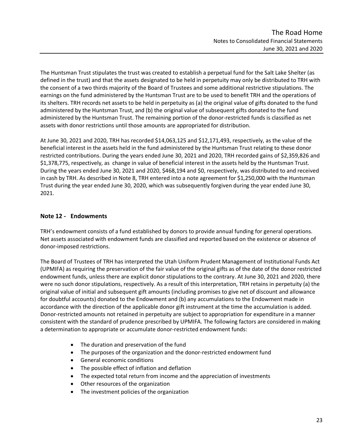The Huntsman Trust stipulates the trust was created to establish a perpetual fund for the Salt Lake Shelter (as defined in the trust) and that the assets designated to be held in perpetuity may only be distributed to TRH with the consent of a two thirds majority of the Board of Trustees and some additional restrictive stipulations. The earnings on the fund administered by the Huntsman Trust are to be used to benefit TRH and the operations of its shelters. TRH records net assets to be held in perpetuity as (a) the original value of gifts donated to the fund administered by the Huntsman Trust, and (b) the original value of subsequent gifts donated to the fund administered by the Huntsman Trust. The remaining portion of the donor-restricted funds is classified as net assets with donor restrictions until those amounts are appropriated for distribution.

At June 30, 2021 and 2020, TRH has recorded \$14,063,125 and \$12,171,493, respectively, as the value of the beneficial interest in the assets held in the fund administered by the Huntsman Trust relating to these donor restricted contributions. During the years ended June 30, 2021 and 2020, TRH recorded gains of \$2,359,826 and \$1,378,775, respectively, as change in value of beneficial interest in the assets held by the Huntsman Trust. During the years ended June 30, 2021 and 2020, \$468,194 and \$0, respectively, was distributed to and received in cash by TRH. As described in Note 8, TRH entered into a note agreement for \$1,250,000 with the Huntsman Trust during the year ended June 30, 2020, which was subsequently forgiven during the year ended June 30, 2021.

## **Note 12 - Endowments**

TRH's endowment consists of a fund established by donors to provide annual funding for general operations. Net assets associated with endowment funds are classified and reported based on the existence or absence of donor-imposed restrictions.

The Board of Trustees of TRH has interpreted the Utah Uniform Prudent Management of Institutional Funds Act (UPMIFA) as requiring the preservation of the fair value of the original gifts as of the date of the donor restricted endowment funds, unless there are explicit donor stipulations to the contrary. At June 30, 2021 and 2020, there were no such donor stipulations, respectively. As a result of this interpretation, TRH retains in perpetuity (a) the original value of initial and subsequent gift amounts (including promises to give net of discount and allowance for doubtful accounts) donated to the Endowment and (b) any accumulations to the Endowment made in accordance with the direction of the applicable donor gift instrument at the time the accumulation is added. Donor-restricted amounts not retained in perpetuity are subject to appropriation for expenditure in a manner consistent with the standard of prudence prescribed by UPMIFA. The following factors are considered in making a determination to appropriate or accumulate donor-restricted endowment funds:

- The duration and preservation of the fund
- The purposes of the organization and the donor-restricted endowment fund
- General economic conditions
- The possible effect of inflation and deflation
- The expected total return from income and the appreciation of investments
- Other resources of the organization
- The investment policies of the organization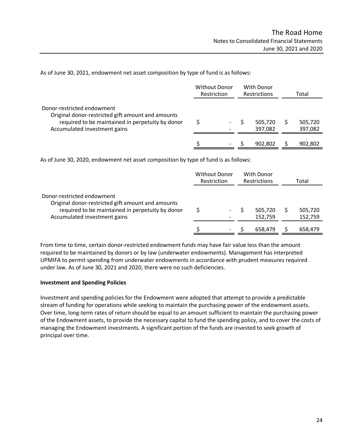As of June 30, 2021, endowment net asset composition by type of fund is as follows:

|                                                                                                                                                                     | <b>Without Donor</b><br>Restriction |  | With Donor<br><b>Restrictions</b> |                    | Total              |
|---------------------------------------------------------------------------------------------------------------------------------------------------------------------|-------------------------------------|--|-----------------------------------|--------------------|--------------------|
| Donor-restricted endowment<br>Original donor-restricted gift amount and amounts<br>required to be maintained in perpetuity by donor<br>Accumulated investment gains |                                     |  |                                   | 505,720<br>397,082 | 505,720<br>397,082 |
|                                                                                                                                                                     |                                     |  |                                   | 902.802            | 902,802            |

As of June 30, 2020, endowment net asset composition by type of fund is as follows:

|                                                                                                                                                                     | <b>Without Donor</b><br>Restriction |  | With Donor<br><b>Restrictions</b> |                    | Total |                    |
|---------------------------------------------------------------------------------------------------------------------------------------------------------------------|-------------------------------------|--|-----------------------------------|--------------------|-------|--------------------|
| Donor-restricted endowment<br>Original donor-restricted gift amount and amounts<br>required to be maintained in perpetuity by donor<br>Accumulated investment gains |                                     |  |                                   | 505,720<br>152,759 |       | 505,720<br>152,759 |
|                                                                                                                                                                     |                                     |  |                                   | 658,479            |       | 658,479            |

From time to time, certain donor-restricted endowment funds may have fair value less than the amount required to be maintained by donors or by law (underwater endowments). Management has interpreted UPMIFA to permit spending from underwater endowments in accordance with prudent measures required under law. As of June 30, 2021 and 2020, there were no such deficiencies.

### **Investment and Spending Policies**

Investment and spending policies for the Endowment were adopted that attempt to provide a predictable stream of funding for operations while seeking to maintain the purchasing power of the endowment assets. Over time, long-term rates of return should be equal to an amount sufficient to maintain the purchasing power of the Endowment assets, to provide the necessary capital to fund the spending policy, and to cover the costs of managing the Endowment investments. A significant portion of the funds are invested to seek growth of principal over time.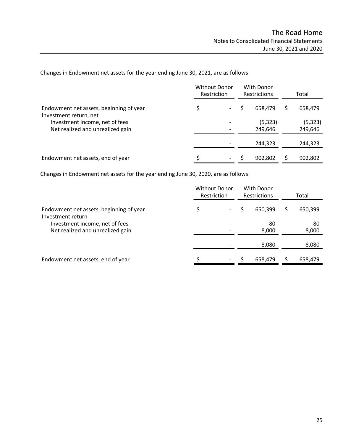Changes in Endowment net assets for the year ending June 30, 2021, are as follows:

|                                                                    | <b>Without Donor</b><br>Restriction |  | With Donor<br><b>Restrictions</b> |  | Total               |  |
|--------------------------------------------------------------------|-------------------------------------|--|-----------------------------------|--|---------------------|--|
| Endowment net assets, beginning of year<br>Investment return, net  | \$                                  |  | 658.479                           |  | 658,479             |  |
| Investment income, net of fees<br>Net realized and unrealized gain |                                     |  | (5, 323)<br>249,646               |  | (5, 323)<br>249,646 |  |
|                                                                    |                                     |  | 244,323                           |  | 244,323             |  |
| Endowment net assets, end of year                                  |                                     |  | 902,802                           |  | 902,802             |  |

Changes in Endowment net assets for the year ending June 30, 2020, are as follows:

|                                                                    | <b>Without Donor</b><br>Restriction |    | With Donor<br><b>Restrictions</b> |             | Total |             |
|--------------------------------------------------------------------|-------------------------------------|----|-----------------------------------|-------------|-------|-------------|
| Endowment net assets, beginning of year<br>Investment return       |                                     |    |                                   | 650,399     |       | 650,399     |
| Investment income, net of fees<br>Net realized and unrealized gain |                                     |    |                                   | 80<br>8,000 |       | 80<br>8,000 |
|                                                                    |                                     |    |                                   | 8,080       |       | 8,080       |
| Endowment net assets, end of year                                  |                                     | Ξ. |                                   | 658.479     |       | 658,479     |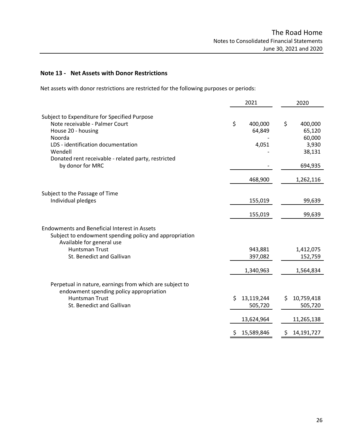## **Note 13 - Net Assets with Donor Restrictions**

Net assets with donor restrictions are restricted for the following purposes or periods:

|                                                                                                                                                                                                                                            | 2021                             | 2020                                                            |  |  |
|--------------------------------------------------------------------------------------------------------------------------------------------------------------------------------------------------------------------------------------------|----------------------------------|-----------------------------------------------------------------|--|--|
| Subject to Expenditure for Specified Purpose<br>Note receivable - Palmer Court<br>House 20 - housing<br>Noorda<br>LDS - identification documentation<br>Wendell<br>Donated rent receivable - related party, restricted<br>by donor for MRC | \$<br>400,000<br>64,849<br>4,051 | \$<br>400,000<br>65,120<br>60,000<br>3,930<br>38,131<br>694,935 |  |  |
|                                                                                                                                                                                                                                            | 468,900                          | 1,262,116                                                       |  |  |
| Subject to the Passage of Time<br>Individual pledges                                                                                                                                                                                       | 155,019<br>155,019               | 99,639<br>99,639                                                |  |  |
| <b>Endowments and Beneficial Interest in Assets</b><br>Subject to endowment spending policy and appropriation<br>Available for general use                                                                                                 |                                  |                                                                 |  |  |
| <b>Huntsman Trust</b><br>St. Benedict and Gallivan                                                                                                                                                                                         | 943,881<br>397,082               | 1,412,075<br>152,759                                            |  |  |
|                                                                                                                                                                                                                                            | 1,340,963                        | 1,564,834                                                       |  |  |
| Perpetual in nature, earnings from which are subject to<br>endowment spending policy appropriation                                                                                                                                         |                                  |                                                                 |  |  |
| <b>Huntsman Trust</b><br>St. Benedict and Gallivan                                                                                                                                                                                         | 13,119,244<br>\$<br>505,720      | 10,759,418<br>\$<br>505,720                                     |  |  |
|                                                                                                                                                                                                                                            | 13,624,964                       | 11,265,138                                                      |  |  |
|                                                                                                                                                                                                                                            | 15,589,846                       | 14,191,727<br>Ş                                                 |  |  |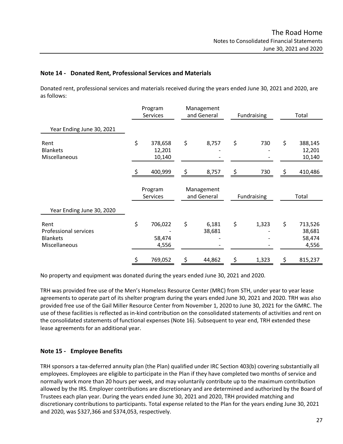### **Note 14 - Donated Rent, Professional Services and Materials**

Donated rent, professional services and materials received during the years ended June 30, 2021 and 2020, are as follows:

|                                                                          | <b>Services</b> |                             | Program<br>and General    |                 | Management  |       | Fundraising |                                      | Total |  |
|--------------------------------------------------------------------------|-----------------|-----------------------------|---------------------------|-----------------|-------------|-------|-------------|--------------------------------------|-------|--|
| Year Ending June 30, 2021                                                |                 |                             |                           |                 |             |       |             |                                      |       |  |
| Rent<br><b>Blankets</b><br>Miscellaneous                                 | \$              | 378,658<br>12,201<br>10,140 | \$                        | 8,757           | \$          | 730   | \$          | 388,145<br>12,201<br>10,140          |       |  |
|                                                                          |                 | 400,999                     | \$                        | 8,757           | \$          | 730   | \$          | 410,486                              |       |  |
|                                                                          |                 | Program<br>Services         | Management<br>and General |                 | Fundraising |       |             | Total                                |       |  |
| Year Ending June 30, 2020                                                |                 |                             |                           |                 |             |       |             |                                      |       |  |
| Rent<br><b>Professional services</b><br><b>Blankets</b><br>Miscellaneous | \$              | 706,022<br>58,474<br>4,556  | \$                        | 6,181<br>38,681 | \$          | 1,323 | \$          | 713,526<br>38,681<br>58,474<br>4,556 |       |  |
|                                                                          |                 | 769,052                     | \$                        | 44,862          | \$          | 1,323 | \$          | 815,237                              |       |  |

No property and equipment was donated during the years ended June 30, 2021 and 2020.

TRH was provided free use of the Men's Homeless Resource Center (MRC) from STH, under year to year lease agreements to operate part of its shelter program during the years ended June 30, 2021 and 2020. TRH was also provided free use of the Gail Miller Resource Center from November 1, 2020 to June 30, 2021 for the GMRC. The use of these facilities is reflected as in-kind contribution on the consolidated statements of activities and rent on the consolidated statements of functional expenses (Note 16). Subsequent to year end, TRH extended these lease agreements for an additional year.

## **Note 15 - Employee Benefits**

TRH sponsors a tax-deferred annuity plan (the Plan) qualified under IRC Section 403(b) covering substantially all employees. Employees are eligible to participate in the Plan if they have completed two months of service and normally work more than 20 hours per week, and may voluntarily contribute up to the maximum contribution allowed by the IRS. Employer contributions are discretionary and are determined and authorized by the Board of Trustees each plan year. During the years ended June 30, 2021 and 2020, TRH provided matching and discretionary contributions to participants. Total expense related to the Plan for the years ending June 30, 2021 and 2020, was \$327,366 and \$374,053, respectively.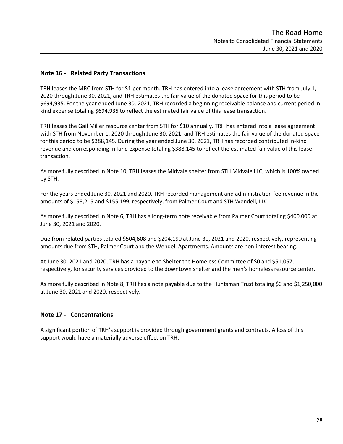### **Note 16 - Related Party Transactions**

TRH leases the MRC from STH for \$1 per month. TRH has entered into a lease agreement with STH from July 1, 2020 through June 30, 2021, and TRH estimates the fair value of the donated space for this period to be \$694,935. For the year ended June 30, 2021, TRH recorded a beginning receivable balance and current period inkind expense totaling \$694,935 to reflect the estimated fair value of this lease transaction.

TRH leases the Gail Miller resource center from STH for \$10 annually. TRH has entered into a lease agreement with STH from November 1, 2020 through June 30, 2021, and TRH estimates the fair value of the donated space for this period to be \$388,145. During the year ended June 30, 2021, TRH has recorded contributed in-kind revenue and corresponding in-kind expense totaling \$388,145 to reflect the estimated fair value of this lease transaction.

As more fully described in Note 10, TRH leases the Midvale shelter from STH Midvale LLC, which is 100% owned by STH.

For the years ended June 30, 2021 and 2020, TRH recorded management and administration fee revenue in the amounts of \$158,215 and \$155,199, respectively, from Palmer Court and STH Wendell, LLC.

As more fully described in Note 6, TRH has a long-term note receivable from Palmer Court totaling \$400,000 at June 30, 2021 and 2020.

Due from related parties totaled \$504,608 and \$204,190 at June 30, 2021 and 2020, respectively, representing amounts due from STH, Palmer Court and the Wendell Apartments. Amounts are non-interest bearing.

At June 30, 2021 and 2020, TRH has a payable to Shelter the Homeless Committee of \$0 and \$51,057, respectively, for security services provided to the downtown shelter and the men's homeless resource center.

As more fully described in Note 8, TRH has a note payable due to the Huntsman Trust totaling \$0 and \$1,250,000 at June 30, 2021 and 2020, respectively.

### **Note 17 - Concentrations**

A significant portion of TRH's support is provided through government grants and contracts. A loss of this support would have a materially adverse effect on TRH.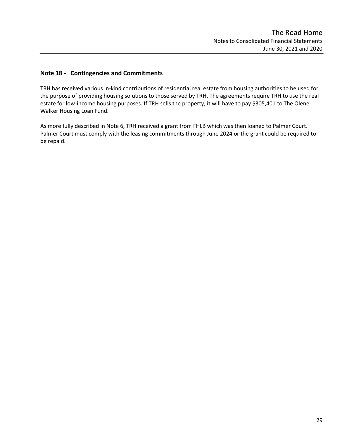## **Note 18 - Contingencies and Commitments**

TRH has received various in-kind contributions of residential real estate from housing authorities to be used for the purpose of providing housing solutions to those served by TRH. The agreements require TRH to use the real estate for low-income housing purposes. If TRH sells the property, it will have to pay \$305,401 to The Olene Walker Housing Loan Fund.

As more fully described in Note 6, TRH received a grant from FHLB which was then loaned to Palmer Court. Palmer Court must comply with the leasing commitments through June 2024 or the grant could be required to be repaid.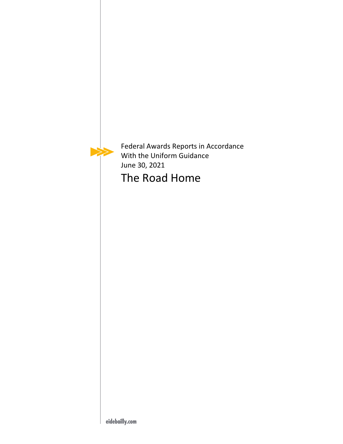<span id="page-31-0"></span>

Federal Awards Reports in Accordance With the Uniform Guidance June 30, 2021

The Road Home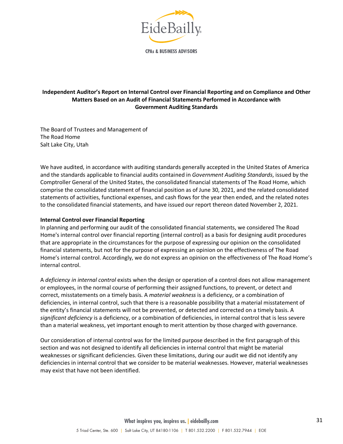

<span id="page-32-0"></span>**CPAs & BUSINESS ADVISORS** 

### **Independent Auditor's Report on Internal Control over Financial Reporting and on Compliance and Other Matters Based on an Audit of Financial Statements Performed in Accordance with Government Auditing Standards**

The Board of Trustees and Management of The Road Home Salt Lake City, Utah

We have audited, in accordance with auditing standards generally accepted in the United States of America and the standards applicable to financial audits contained in *Government Auditing Standards*, issued by the Comptroller General of the United States, the consolidated financial statements of The Road Home, which comprise the consolidated statement of financial position as of June 30, 2021, and the related consolidated statements of activities, functional expenses, and cash flows for the year then ended, and the related notes to the consolidated financial statements, and have issued our report thereon dated November 2, 2021.

### **Internal Control over Financial Reporting**

In planning and performing our audit of the consolidated financial statements, we considered The Road Home's internal control over financial reporting (internal control) as a basis for designing audit procedures that are appropriate in the circumstances for the purpose of expressing our opinion on the consolidated financial statements, but not for the purpose of expressing an opinion on the effectiveness of The Road Home's internal control. Accordingly, we do not express an opinion on the effectiveness of The Road Home's internal control.

A *deficiency in internal control* exists when the design or operation of a control does not allow management or employees, in the normal course of performing their assigned functions, to prevent, or detect and correct, misstatements on a timely basis. A *material weakness* is a deficiency, or a combination of deficiencies, in internal control, such that there is a reasonable possibility that a material misstatement of the entity's financial statements will not be prevented, or detected and corrected on a timely basis. A *significant deficiency* is a deficiency, or a combination of deficiencies, in internal control that is less severe than a material weakness, yet important enough to merit attention by those charged with governance.

Our consideration of internal control was for the limited purpose described in the first paragraph of this section and was not designed to identify all deficiencies in internal control that might be material weaknesses or significant deficiencies. Given these limitations, during our audit we did not identify any deficiencies in internal control that we consider to be material weaknesses. However, material weaknesses may exist that have not been identified.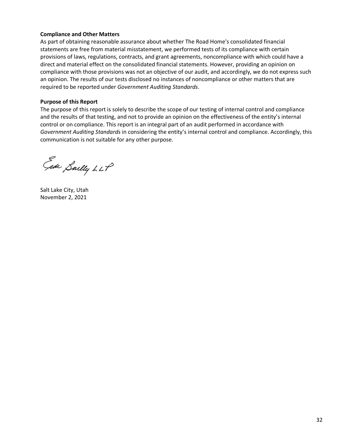### **Compliance and Other Matters**

As part of obtaining reasonable assurance about whether The Road Home's consolidated financial statements are free from material misstatement, we performed tests of its compliance with certain provisions of laws, regulations, contracts, and grant agreements, noncompliance with which could have a direct and material effect on the consolidated financial statements. However, providing an opinion on compliance with those provisions was not an objective of our audit, and accordingly, we do not express such an opinion. The results of our tests disclosed no instances of noncompliance or other matters that are required to be reported under *Government Auditing Standards*.

### **Purpose of this Report**

The purpose of this report is solely to describe the scope of our testing of internal control and compliance and the results of that testing, and not to provide an opinion on the effectiveness of the entity's internal control or on compliance. This report is an integral part of an audit performed in accordance with *Government Auditing Standards* in considering the entity's internal control and compliance. Accordingly, this communication is not suitable for any other purpose.

Ede Sailly LLP

Salt Lake City, Utah November 2, 2021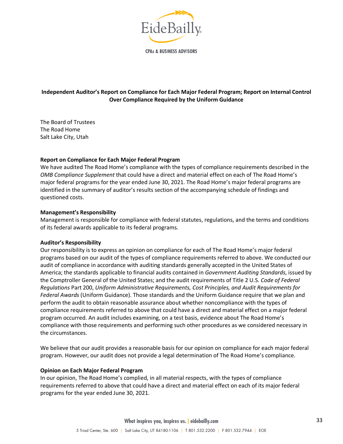

<span id="page-34-0"></span>**CPAs & BUSINESS ADVISORS** 

## **Independent Auditor's Report on Compliance for Each Major Federal Program; Report on Internal Control Over Compliance Required by the Uniform Guidance**

The Board of Trustees The Road Home Salt Lake City, Utah

### **Report on Compliance for Each Major Federal Program**

We have audited The Road Home's compliance with the types of compliance requirements described in the *OMB Compliance Supplement* that could have a direct and material effect on each of The Road Home's major federal programs for the year ended June 30, 2021. The Road Home's major federal programs are identified in the summary of auditor's results section of the accompanying schedule of findings and questioned costs.

#### **Management's Responsibility**

Management is responsible for compliance with federal statutes, regulations, and the terms and conditions of its federal awards applicable to its federal programs.

#### **Auditor's Responsibility**

Our responsibility is to express an opinion on compliance for each of The Road Home's major federal programs based on our audit of the types of compliance requirements referred to above. We conducted our audit of compliance in accordance with auditing standards generally accepted in the United States of America; the standards applicable to financial audits contained in *Government Auditing Standards*, issued by the Comptroller General of the United States; and the audit requirements of Title 2 U.S. *Code of Federal Regulations* Part 200, *Uniform Administrative Requirements, Cost Principles, and Audit Requirements for Federal Awards* (Uniform Guidance). Those standards and the Uniform Guidance require that we plan and perform the audit to obtain reasonable assurance about whether noncompliance with the types of compliance requirements referred to above that could have a direct and material effect on a major federal program occurred. An audit includes examining, on a test basis, evidence about The Road Home's compliance with those requirements and performing such other procedures as we considered necessary in the circumstances.

We believe that our audit provides a reasonable basis for our opinion on compliance for each major federal program. However, our audit does not provide a legal determination of The Road Home's compliance.

#### **Opinion on Each Major Federal Program**

In our opinion, The Road Home's complied, in all material respects, with the types of compliance requirements referred to above that could have a direct and material effect on each of its major federal programs for the year ended June 30, 2021.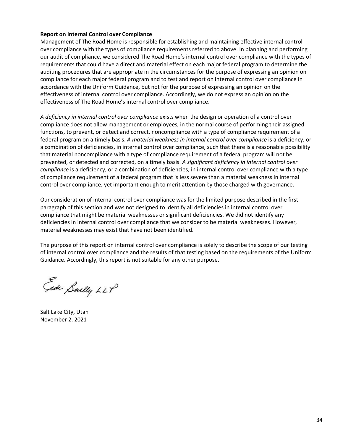### **Report on Internal Control over Compliance**

Management of The Road Home is responsible for establishing and maintaining effective internal control over compliance with the types of compliance requirements referred to above. In planning and performing our audit of compliance, we considered The Road Home's internal control over compliance with the types of requirements that could have a direct and material effect on each major federal program to determine the auditing procedures that are appropriate in the circumstances for the purpose of expressing an opinion on compliance for each major federal program and to test and report on internal control over compliance in accordance with the Uniform Guidance, but not for the purpose of expressing an opinion on the effectiveness of internal control over compliance. Accordingly, we do not express an opinion on the effectiveness of The Road Home's internal control over compliance.

*A deficiency in internal control over compliance* exists when the design or operation of a control over compliance does not allow management or employees, in the normal course of performing their assigned functions, to prevent, or detect and correct, noncompliance with a type of compliance requirement of a federal program on a timely basis. *A material weakness in internal control over compliance* is a deficiency, or a combination of deficiencies, in internal control over compliance, such that there is a reasonable possibility that material noncompliance with a type of compliance requirement of a federal program will not be prevented, or detected and corrected, on a timely basis. *A significant deficiency in internal control over compliance* is a deficiency, or a combination of deficiencies, in internal control over compliance with a type of compliance requirement of a federal program that is less severe than a material weakness in internal control over compliance, yet important enough to merit attention by those charged with governance.

Our consideration of internal control over compliance was for the limited purpose described in the first paragraph of this section and was not designed to identify all deficiencies in internal control over compliance that might be material weaknesses or significant deficiencies. We did not identify any deficiencies in internal control over compliance that we consider to be material weaknesses. However, material weaknesses may exist that have not been identified.

The purpose of this report on internal control over compliance is solely to describe the scope of our testing of internal control over compliance and the results of that testing based on the requirements of the Uniform Guidance. Accordingly, this report is not suitable for any other purpose.

Ede Sailly LLP

Salt Lake City, Utah November 2, 2021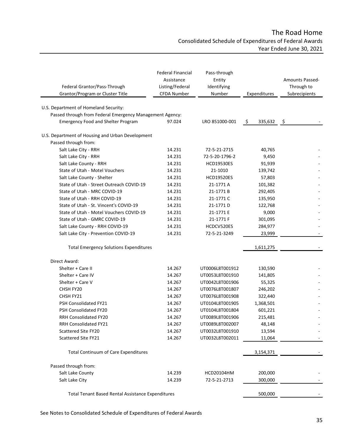# The Road Home Consolidated Schedule of Expenditures of Federal Awards Year Ended June 30, 2021

<span id="page-36-0"></span>

| Federal Grantor/Pass-Through<br>Grantor/Program or Cluster Title         | <b>Federal Financial</b><br>Assistance<br>Listing/Federal<br>CFDA Number | Pass-through<br>Entity<br>Identifying<br>Number | Expenditures  | <b>Amounts Passed-</b><br>Through to<br>Subrecipients |
|--------------------------------------------------------------------------|--------------------------------------------------------------------------|-------------------------------------------------|---------------|-------------------------------------------------------|
| U.S. Department of Homeland Security:                                    |                                                                          |                                                 |               |                                                       |
| Passed through from Federal Emergency Management Agency:                 |                                                                          |                                                 |               |                                                       |
| <b>Emergency Food and Shelter Program</b>                                | 97.024                                                                   | LRO 851000-001                                  |               |                                                       |
|                                                                          |                                                                          |                                                 | 335,632<br>-S | -\$                                                   |
| U.S. Department of Housing and Urban Development<br>Passed through from: |                                                                          |                                                 |               |                                                       |
| Salt Lake City - RRH                                                     | 14.231                                                                   | 72-5-21-2715                                    | 40,765        |                                                       |
| Salt Lake City - RRH                                                     | 14.231                                                                   | 72-5-20-1796-2                                  | 9,450         |                                                       |
| Salt Lake County - RRH                                                   | 14.231                                                                   | <b>HCD19530ES</b>                               | 91,939        |                                                       |
| State of Utah - Motel Vouchers                                           | 14.231                                                                   | 21-1010                                         | 139,742       |                                                       |
| Salt Lake County - Shelter                                               | 14.231                                                                   | <b>HCD19520ES</b>                               | 57,803        |                                                       |
| State of Utah - Street Outreach COVID-19                                 | 14.231                                                                   | 21-1771 A                                       | 101,382       |                                                       |
| State of Utah - MRC COVID-19                                             | 14.231                                                                   | 21-1771B                                        | 292,405       |                                                       |
| State of Utah - RRH COVID-19                                             | 14.231                                                                   | 21-1771 C                                       | 135,950       |                                                       |
| State of Utah - St. Vincent's COVID-19                                   | 14.231                                                                   | 21-1771D                                        | 122,768       |                                                       |
| State of Utah - Motel Vouchers COVID-19                                  | 14.231                                                                   | 21-1771 E                                       | 9,000         |                                                       |
| State of Utah - GMRC COVID-19                                            | 14.231                                                                   | 21-1771 F                                       | 301,095       |                                                       |
| Salt Lake County - RRH COVID-19                                          | 14.231                                                                   | HCDCV520ES                                      | 284,977       |                                                       |
| Salt Lake City - Prevention COVID-19                                     | 14.231                                                                   | 72-5-21-3249                                    | 23,999        |                                                       |
| <b>Total Emergency Solutions Expenditures</b>                            |                                                                          |                                                 | 1,611,275     |                                                       |
|                                                                          |                                                                          |                                                 |               |                                                       |
| Direct Award:<br>Shelter + Care II                                       | 14.267                                                                   |                                                 |               |                                                       |
| Shelter + Care IV                                                        | 14.267                                                                   | UT0006L8T001912                                 | 130,590       |                                                       |
|                                                                          |                                                                          | UT0053L8T001910                                 | 141,805       |                                                       |
| Shelter + Care V                                                         | 14.267                                                                   | UT0042L8T001906                                 | 55,325        |                                                       |
| CHSH FY20                                                                | 14.267                                                                   | UT0076L8T001807                                 | 246,202       |                                                       |
| CHSH FY21<br>PSH Consolidated FY21                                       | 14.267                                                                   | UT0076L8T001908                                 | 322,440       |                                                       |
|                                                                          | 14.267                                                                   | UT0104L8T001905                                 | 1,368,501     |                                                       |
| PSH Consolidated FY20                                                    | 14.267                                                                   | UT0104L8T001804                                 | 601,221       |                                                       |
| RRH Consolidated FY20                                                    | 14.267                                                                   | UT0089L8T001906                                 | 215,481       |                                                       |
| RRH Consolidated FY21                                                    | 14.267                                                                   | UT0089L8T002007                                 | 48,148        |                                                       |
| Scattered Site FY20                                                      | 14.267                                                                   | UT0032L8T001910                                 | 13,594        |                                                       |
| Scattered Site FY21                                                      | 14.267                                                                   | UT0032L8T002011                                 | 11,064        |                                                       |
| Total Continuum of Care Expenditures                                     |                                                                          |                                                 | 3,154,371     |                                                       |
| Passed through from:                                                     |                                                                          |                                                 |               |                                                       |
| Salt Lake County                                                         | 14.239                                                                   | HCD20104HM                                      | 200,000       |                                                       |
| Salt Lake City                                                           | 14.239                                                                   | 72-5-21-2713                                    | 300,000       |                                                       |
| Total Tenant Based Rental Assistance Expenditures                        |                                                                          |                                                 | 500,000       |                                                       |

See Notes to Consolidated Schedule of Expenditures of Federal Awards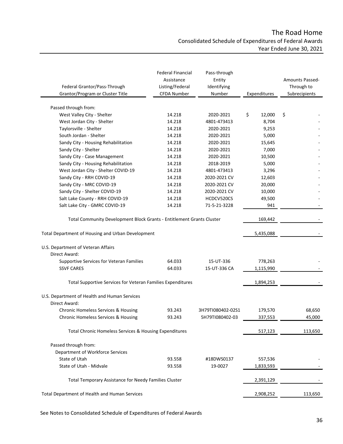# The Road Home Consolidated Schedule of Expenditures of Federal Awards Year Ended June 30, 2021

| Federal Grantor/Pass-Through<br>Grantor/Program or Cluster Title      | <b>Federal Financial</b><br>Assistance<br>Listing/Federal<br>CFDA Number | Pass-through<br>Entity<br>Identifying<br>Number | Expenditures | Amounts Passed-<br>Through to<br>Subrecipients |
|-----------------------------------------------------------------------|--------------------------------------------------------------------------|-------------------------------------------------|--------------|------------------------------------------------|
|                                                                       |                                                                          |                                                 |              |                                                |
| Passed through from:                                                  |                                                                          |                                                 |              |                                                |
| West Valley City - Shelter                                            | 14.218                                                                   | 2020-2021                                       | \$<br>12,000 | \$                                             |
| West Jordan City - Shelter                                            | 14.218                                                                   | 4801-473413                                     | 8,704        |                                                |
| Taylorsville - Shelter                                                | 14.218                                                                   | 2020-2021                                       | 9,253        |                                                |
| South Jordan - Shelter                                                | 14.218                                                                   | 2020-2021                                       | 5,000        |                                                |
| Sandy City - Housing Rehabilitation                                   | 14.218                                                                   | 2020-2021                                       | 15,645       |                                                |
| Sandy City - Shelter                                                  | 14.218                                                                   | 2020-2021                                       | 7,000        |                                                |
| Sandy City - Case Management                                          | 14.218                                                                   | 2020-2021                                       | 10,500       |                                                |
| Sandy City - Housing Rehabilitation                                   | 14.218                                                                   | 2018-2019                                       | 5,000        |                                                |
| West Jordan City - Shelter COVID-19                                   | 14.218                                                                   | 4801-473413                                     | 3,296        |                                                |
| Sandy City - RRH COVID-19                                             | 14.218                                                                   | 2020-2021 CV                                    | 12,603       |                                                |
| Sandy City - MRC COVID-19                                             | 14.218                                                                   | 2020-2021 CV                                    | 20,000       |                                                |
| Sandy City - Shelter COVID-19                                         | 14.218                                                                   | 2020-2021 CV                                    | 10,000       |                                                |
| Salt Lake County - RRH COVID-19                                       | 14.218                                                                   | HCDCV520CS                                      | 49,500       |                                                |
| Salt Lake City - GMRC COVID-19                                        | 14.218                                                                   | 71-5-21-3228                                    | 941          |                                                |
| Total Community Development Block Grants - Entitlement Grants Cluster | 169,442                                                                  |                                                 |              |                                                |
| Total Department of Housing and Urban Development                     |                                                                          |                                                 | 5,435,088    |                                                |
| U.S. Department of Veteran Affairs                                    |                                                                          |                                                 |              |                                                |
| Direct Award:                                                         |                                                                          |                                                 |              |                                                |
| Supportive Services for Veteran Families                              | 64.033                                                                   | 15-UT-336                                       | 778,263      |                                                |
| <b>SSVF CARES</b>                                                     | 64.033                                                                   | 15-UT-336 CA                                    | 1,115,990    |                                                |
| Total Supportive Services for Veteran Families Expenditures           |                                                                          |                                                 | 1,894,253    |                                                |
| U.S. Department of Health and Human Services                          |                                                                          |                                                 |              |                                                |
| Direct Award:                                                         |                                                                          |                                                 |              |                                                |
| <b>Chronic Homeless Services &amp; Housing</b>                        | 93.243                                                                   | 3H79TI080402-02S1                               | 179,570      | 68,650                                         |
| Chronic Homeless Services & Housing                                   | 93.243                                                                   | 5H79TI080402-03                                 | 337,553      | 45,000                                         |
| Total Chronic Homeless Services & Housing Expenditures                |                                                                          |                                                 | 517,123      | 113,650                                        |
| Passed through from:                                                  |                                                                          |                                                 |              |                                                |
| Department of Workforce Services                                      |                                                                          |                                                 |              |                                                |
| State of Utah                                                         | 93.558                                                                   | #18DWS0137                                      | 557,536      |                                                |
| State of Utah - Midvale                                               | 93.558                                                                   | 19-0027                                         | 1,833,593    |                                                |
| Total Temporary Assistance for Needy Families Cluster                 |                                                                          |                                                 | 2,391,129    |                                                |
| Total Department of Health and Human Services                         |                                                                          |                                                 | 2,908,252    | 113,650                                        |

See Notes to Consolidated Schedule of Expenditures of Federal Awards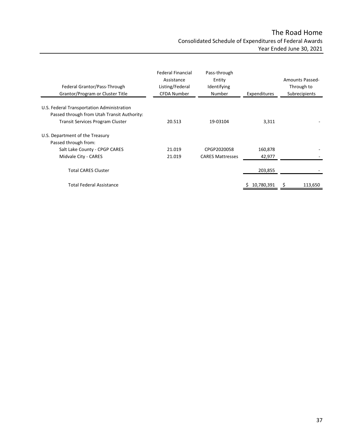# The Road Home Consolidated Schedule of Expenditures of Federal Awards Year Ended June 30, 2021

| Federal Grantor/Pass-Through<br>Grantor/Program or Cluster Title                                                                     | <b>Federal Financial</b><br>Assistance<br>Listing/Federal<br><b>CFDA Number</b> | Pass-through<br>Entity<br>Identifying<br>Number | Expenditures | <b>Amounts Passed-</b><br>Through to<br>Subrecipients |
|--------------------------------------------------------------------------------------------------------------------------------------|---------------------------------------------------------------------------------|-------------------------------------------------|--------------|-------------------------------------------------------|
| U.S. Federal Transportation Administration<br>Passed through from Utah Transit Authority:<br><b>Transit Services Program Cluster</b> | 20.513                                                                          | 19-03104                                        | 3,311        |                                                       |
| U.S. Department of the Treasury<br>Passed through from:                                                                              |                                                                                 |                                                 |              |                                                       |
| Salt Lake County - CPGP CARES                                                                                                        | 21.019                                                                          | CPGP2020058                                     | 160,878      |                                                       |
| Midvale City - CARES                                                                                                                 | 21.019                                                                          | <b>CARES Mattresses</b>                         | 42,977       |                                                       |
| <b>Total CARES Cluster</b>                                                                                                           |                                                                                 |                                                 | 203,855      |                                                       |
| <b>Total Federal Assistance</b>                                                                                                      |                                                                                 |                                                 | 10,780,391   | 113,650                                               |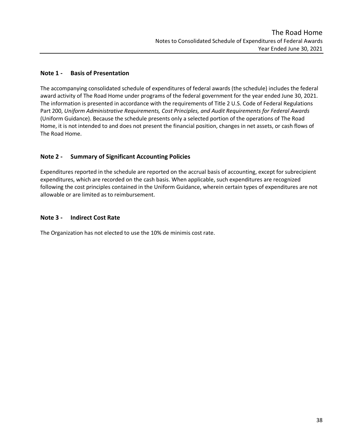# <span id="page-39-0"></span>**Note 1 - Basis of Presentation**

The accompanying consolidated schedule of expenditures of federal awards (the schedule) includes the federal award activity of The Road Home under programs of the federal government for the year ended June 30, 2021. The information is presented in accordance with the requirements of Title 2 U.S. Code of Federal Regulations Part 200, *Uniform Administrative Requirements, Cost Principles, and Audit Requirements for Federal Awards* (Uniform Guidance). Because the schedule presents only a selected portion of the operations of The Road Home, it is not intended to and does not present the financial position, changes in net assets, or cash flows of The Road Home.

# **Note 2 - Summary of Significant Accounting Policies**

Expenditures reported in the schedule are reported on the accrual basis of accounting, except for subrecipient expenditures, which are recorded on the cash basis. When applicable, such expenditures are recognized following the cost principles contained in the Uniform Guidance, wherein certain types of expenditures are not allowable or are limited as to reimbursement.

## **Note 3 - Indirect Cost Rate**

The Organization has not elected to use the 10% de minimis cost rate.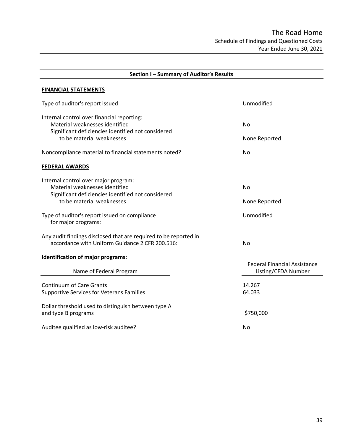<span id="page-40-0"></span>

| Section I - Summary of Auditor's Results                                                                                                                        |                                                            |  |  |  |
|-----------------------------------------------------------------------------------------------------------------------------------------------------------------|------------------------------------------------------------|--|--|--|
| <b>FINANCIAL STATEMENTS</b>                                                                                                                                     |                                                            |  |  |  |
| Type of auditor's report issued                                                                                                                                 | Unmodified                                                 |  |  |  |
| Internal control over financial reporting:<br>Material weaknesses identified<br>Significant deficiencies identified not considered<br>to be material weaknesses | <b>No</b><br>None Reported                                 |  |  |  |
| Noncompliance material to financial statements noted?                                                                                                           | <b>No</b>                                                  |  |  |  |
| <b>FEDERAL AWARDS</b>                                                                                                                                           |                                                            |  |  |  |
| Internal control over major program:<br>Material weaknesses identified<br>Significant deficiencies identified not considered<br>to be material weaknesses       | <b>No</b><br>None Reported                                 |  |  |  |
| Type of auditor's report issued on compliance<br>for major programs:                                                                                            | Unmodified                                                 |  |  |  |
| Any audit findings disclosed that are required to be reported in<br>accordance with Uniform Guidance 2 CFR 200.516:                                             | <b>No</b>                                                  |  |  |  |
| Identification of major programs:<br>Name of Federal Program                                                                                                    | <b>Federal Financial Assistance</b><br>Listing/CFDA Number |  |  |  |
| <b>Continuum of Care Grants</b><br><b>Supportive Services for Veterans Families</b>                                                                             | 14.267<br>64.033                                           |  |  |  |
| Dollar threshold used to distinguish between type A<br>and type B programs                                                                                      | \$750,000                                                  |  |  |  |
| Auditee qualified as low-risk auditee?                                                                                                                          | No.                                                        |  |  |  |